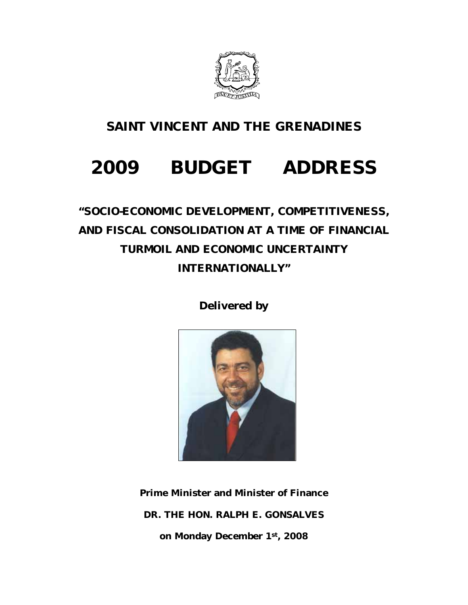

### **SAINT VINCENT AND THE GRENADINES**

# **2009 BUDGET ADDRESS**

### *"SOCIO-ECONOMIC DEVELOPMENT, COMPETITIVENESS, AND FISCAL CONSOLIDATION AT A TIME OF FINANCIAL TURMOIL AND ECONOMIC UNCERTAINTY INTERNATIONALLY"*

**Delivered by** 



**Prime Minister and Minister of Finance DR. THE HON. RALPH E. GONSALVES on Monday December 1st, 2008**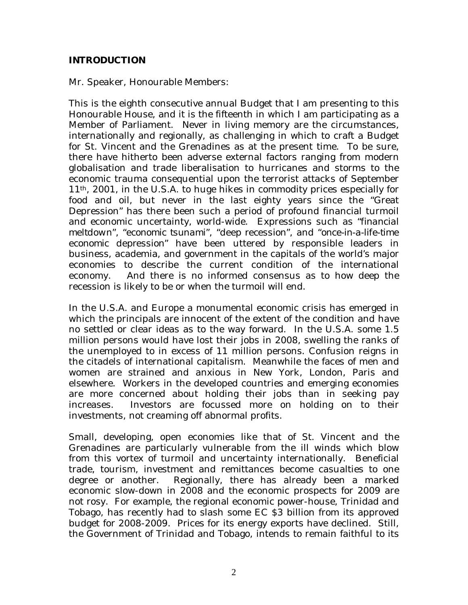#### **INTRODUCTION**

Mr. Speaker, Honourable Members:

This is the eighth consecutive annual Budget that I am presenting to this Honourable House, and it is the fifteenth in which I am participating as a Member of Parliament. Never in living memory are the circumstances, internationally and regionally, as challenging in which to craft a Budget for St. Vincent and the Grenadines as at the present time. To be sure, there have hitherto been adverse external factors ranging from modern globalisation and trade liberalisation to hurricanes and storms to the economic trauma consequential upon the terrorist attacks of September 11th, 2001, in the U.S.A. to huge hikes in commodity prices especially for food and oil, but never in the last eighty years since the "Great Depression" has there been such a period of profound financial turmoil and economic uncertainty, world-wide. Expressions such as "*financial meltdown*", "*economic tsunami*", "*deep recession*", and "*once-in-a-life-time economic depression*" have been uttered by responsible leaders in business, academia, and government in the capitals of the world's major economies to describe the current condition of the international economy. And there is no informed consensus as to how deep the recession is likely to be or when the turmoil will end.

In the U.S.A. and Europe a monumental economic crisis has emerged in which the principals are innocent of the extent of the condition and have no settled or clear ideas as to the way forward. In the U.S.A. some 1.5 million persons would have lost their jobs in 2008, swelling the ranks of the unemployed to in excess of 11 million persons. Confusion reigns in the citadels of international capitalism. Meanwhile the faces of men and women are strained and anxious in New York, London, Paris and elsewhere. Workers in the developed countries and emerging economies are more concerned about holding their jobs than in seeking pay increases. Investors are focussed more on holding on to their investments, not creaming off abnormal profits.

Small, developing, open economies like that of St. Vincent and the Grenadines are particularly vulnerable from the ill winds which blow from this vortex of turmoil and uncertainty internationally. Beneficial trade, tourism, investment and remittances become casualties to one degree or another. Regionally, there has already been a marked economic slow-down in 2008 and the economic prospects for 2009 are not rosy. For example, the regional economic power-house, Trinidad and Tobago, has recently had to slash some EC \$3 billion from its approved budget for 2008-2009. Prices for its energy exports have declined. Still, the Government of Trinidad and Tobago, intends to remain faithful to its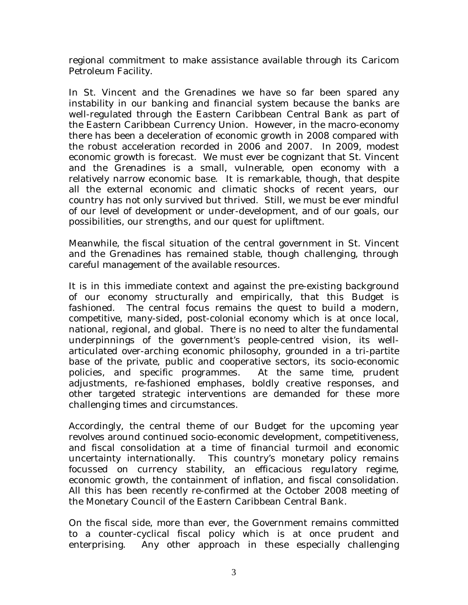regional commitment to make assistance available through its Caricom Petroleum Facility.

In St. Vincent and the Grenadines we have so far been spared any instability in our banking and financial system because the banks are well-regulated through the Eastern Caribbean Central Bank as part of the Eastern Caribbean Currency Union. However, in the macro-economy there has been a deceleration of economic growth in 2008 compared with the robust acceleration recorded in 2006 and 2007. In 2009, modest economic growth is forecast. We must ever be cognizant that St. Vincent and the Grenadines is a small, vulnerable, open economy with a relatively narrow economic base. It is remarkable, though, that despite all the external economic and climatic shocks of recent years, our country has not only survived but thrived. Still, we must be ever mindful of our level of development or under-development, and of our goals, our possibilities, our strengths, and our quest for upliftment.

Meanwhile, the fiscal situation of the central government in St. Vincent and the Grenadines has remained stable, though challenging, through careful management of the available resources.

It is in this immediate context and against the pre-existing background of our economy structurally and empirically, that this Budget is fashioned. The central focus remains the quest to build a modern, competitive, many-sided, post-colonial economy which is at once local, national, regional, and global. There is no need to alter the fundamental underpinnings of the government's people-centred vision, its wellarticulated over-arching economic philosophy, grounded in a tri-partite base of the private, public and cooperative sectors, its socio-economic policies, and specific programmes. At the same time, prudent adjustments, re-fashioned emphases, boldly creative responses, and other targeted strategic interventions are demanded for these more challenging times and circumstances.

Accordingly, the central theme of our Budget for the upcoming year revolves around continued socio-economic development, competitiveness, and fiscal consolidation at a time of financial turmoil and economic uncertainty internationally. This country's monetary policy remains focussed on currency stability, an efficacious regulatory regime, economic growth, the containment of inflation, and fiscal consolidation. All this has been recently re-confirmed at the October 2008 meeting of the Monetary Council of the Eastern Caribbean Central Bank.

On the fiscal side, more than ever, the Government remains committed to a counter-cyclical fiscal policy which is at once prudent and enterprising. Any other approach in these especially challenging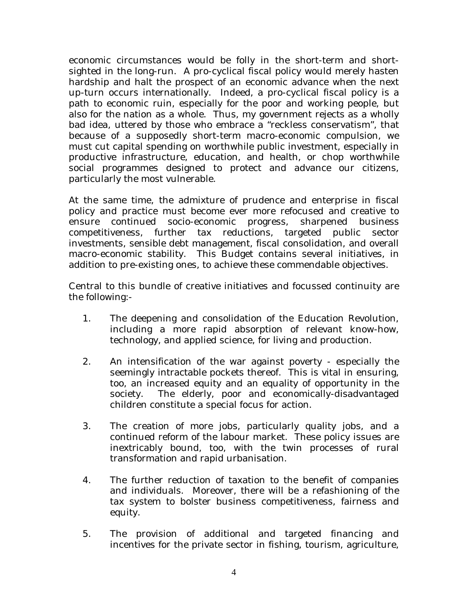economic circumstances would be folly in the short-term and shortsighted in the long-run. A pro-cyclical fiscal policy would merely hasten hardship and halt the prospect of an economic advance when the next up-turn occurs internationally. Indeed, a pro-cyclical fiscal policy is a path to economic ruin, especially for the poor and working people, but also for the nation as a whole. Thus, my government rejects as a wholly bad idea, uttered by those who embrace a "reckless conservatism", that because of a supposedly short-term macro-economic compulsion, we must cut capital spending on worthwhile public investment, especially in productive infrastructure, education, and health, or chop worthwhile social programmes designed to protect and advance our citizens, particularly the most vulnerable.

At the same time, the admixture of prudence and enterprise in fiscal policy and practice must become ever more refocused and creative to ensure continued socio-economic progress, sharpened business competitiveness, further tax reductions, targeted public sector investments, sensible debt management, fiscal consolidation, and overall macro-economic stability. This Budget contains several initiatives, in addition to pre-existing ones, to achieve these commendable objectives.

Central to this bundle of creative initiatives and focussed continuity are the following:-

- 1. The deepening and consolidation of the Education Revolution, including a more rapid absorption of relevant know-how, technology, and applied science, for living and production.
- 2. An intensification of the war against poverty especially the seemingly intractable pockets thereof. This is vital in ensuring, too, an increased equity and an equality of opportunity in the society. The elderly, poor and economically-disadvantaged children constitute a special focus for action.
- 3. The creation of more jobs, particularly quality jobs, and a continued reform of the labour market. These policy issues are inextricably bound, too, with the twin processes of rural transformation and rapid urbanisation.
- 4. The further reduction of taxation to the benefit of companies and individuals. Moreover, there will be a refashioning of the tax system to bolster business competitiveness, fairness and equity.
- 5. The provision of additional and targeted financing and incentives for the private sector in fishing, tourism, agriculture,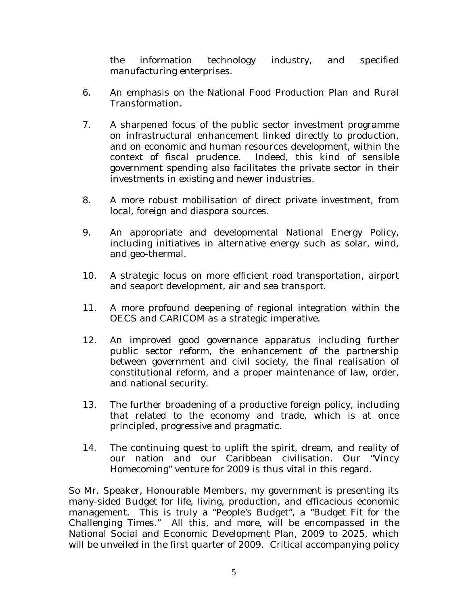the information technology industry, and specified manufacturing enterprises.

- 6. An emphasis on the National Food Production Plan and Rural Transformation.
- 7. A sharpened focus of the public sector investment programme on infrastructural enhancement linked directly to production, and on economic and human resources development, within the context of fiscal prudence. Indeed, this kind of sensible government spending also facilitates the private sector in their investments in existing and newer industries.
- 8. A more robust mobilisation of direct private investment, from local, foreign and diaspora sources.
- 9. An appropriate and developmental National Energy Policy, including initiatives in alternative energy such as solar, wind, and geo-thermal.
- 10. A strategic focus on more efficient road transportation, airport and seaport development, air and sea transport.
- 11. A more profound deepening of regional integration within the OECS and CARICOM as a strategic imperative.
- 12. An improved good governance apparatus including further public sector reform, the enhancement of the partnership between government and civil society, the final realisation of constitutional reform, and a proper maintenance of law, order, and national security.
- 13. The further broadening of a productive foreign policy, including that related to the economy and trade, which is at once principled, progressive and pragmatic.
- 14. The continuing quest to uplift the spirit, dream, and reality of our nation and our Caribbean civilisation. Our "Vincy Homecoming" venture for 2009 is thus vital in this regard.

So Mr. Speaker, Honourable Members, my government is presenting its many-sided Budget for life, living, production, and efficacious economic management. This is truly a "People's Budget", a "Budget Fit for the Challenging Times." All this, and more, will be encompassed in the National Social and Economic Development Plan, 2009 to 2025, which will be unveiled in the first quarter of 2009. Critical accompanying policy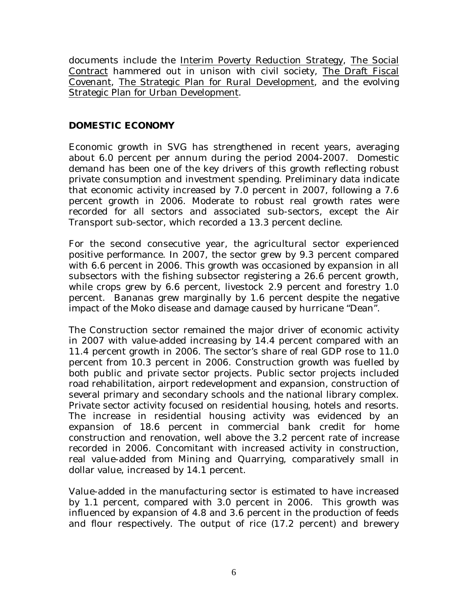documents include the Interim Poverty Reduction Strategy, The Social Contract hammered out in unison with civil society, The Draft Fiscal Covenant, The Strategic Plan for Rural Development, and the evolving Strategic Plan for Urban Development.

#### **DOMESTIC ECONOMY**

Economic growth in SVG has strengthened in recent years, averaging about 6.0 percent per annum during the period 2004-2007. Domestic demand has been one of the key drivers of this growth reflecting robust private consumption and investment spending. Preliminary data indicate that economic activity increased by 7.0 percent in 2007, following a 7.6 percent growth in 2006. Moderate to robust real growth rates were recorded for all sectors and associated sub-sectors, except the Air Transport sub-sector, which recorded a 13.3 percent decline.

For the second consecutive year, the agricultural sector experienced positive performance. In 2007, the sector grew by 9.3 percent compared with 6.6 percent in 2006. This growth was occasioned by expansion in all subsectors with the fishing subsector registering a 26.6 percent growth, while crops grew by 6.6 percent, livestock 2.9 percent and forestry 1.0 percent. Bananas grew marginally by 1.6 percent despite the negative impact of the Moko disease and damage caused by hurricane "Dean".

The Construction sector remained the major driver of economic activity in 2007 with value-added increasing by 14.4 percent compared with an 11.4 percent growth in 2006. The sector's share of real GDP rose to 11.0 percent from 10.3 percent in 2006. Construction growth was fuelled by both public and private sector projects. Public sector projects included road rehabilitation, airport redevelopment and expansion, construction of several primary and secondary schools and the national library complex. Private sector activity focused on residential housing, hotels and resorts. The increase in residential housing activity was evidenced by an expansion of 18.6 percent in commercial bank credit for home construction and renovation, well above the 3.2 percent rate of increase recorded in 2006. Concomitant with increased activity in construction, real value-added from Mining and Quarrying, comparatively small in dollar value, increased by 14.1 percent.

Value-added in the manufacturing sector is estimated to have increased by 1.1 percent, compared with 3.0 percent in 2006. This growth was influenced by expansion of 4.8 and 3.6 percent in the production of feeds and flour respectively. The output of rice (17.2 percent) and brewery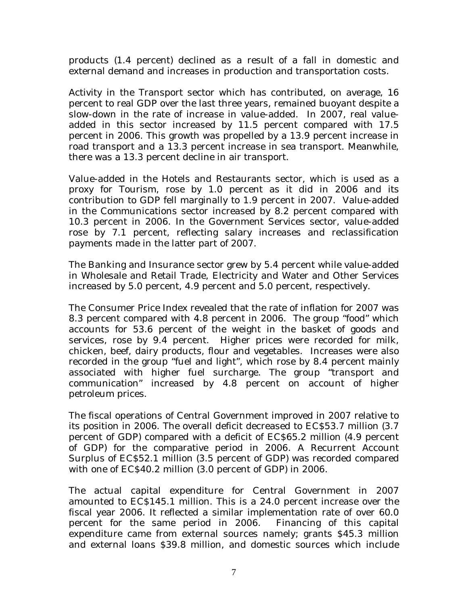products (1.4 percent) declined as a result of a fall in domestic and external demand and increases in production and transportation costs.

Activity in the Transport sector which has contributed, on average, 16 percent to real GDP over the last three years, remained buoyant despite a slow-down in the rate of increase in value-added. In 2007, real valueadded in this sector increased by 11.5 percent compared with 17.5 percent in 2006. This growth was propelled by a 13.9 percent increase in road transport and a 13.3 percent increase in sea transport. Meanwhile, there was a 13.3 percent decline in air transport.

Value-added in the Hotels and Restaurants sector, which is used as a proxy for Tourism, rose by 1.0 percent as it did in 2006 and its contribution to GDP fell marginally to 1.9 percent in 2007. Value-added in the Communications sector increased by 8.2 percent compared with 10.3 percent in 2006. In the Government Services sector, value-added rose by 7.1 percent, reflecting salary increases and reclassification payments made in the latter part of 2007.

The Banking and Insurance sector grew by 5.4 percent while value-added in Wholesale and Retail Trade, Electricity and Water and Other Services increased by 5.0 percent, 4.9 percent and 5.0 percent, respectively.

The Consumer Price Index revealed that the rate of inflation for 2007 was 8.3 percent compared with 4.8 percent in 2006. The group "food" which accounts for 53.6 percent of the weight in the basket of goods and services, rose by 9.4 percent. Higher prices were recorded for milk, chicken, beef, dairy products, flour and vegetables. Increases were also recorded in the group "fuel and light", which rose by 8.4 percent mainly associated with higher fuel surcharge. The group "transport and communication" increased by 4.8 percent on account of higher petroleum prices.

The fiscal operations of Central Government improved in 2007 relative to its position in 2006. The overall deficit decreased to EC\$53.7 million (3.7 percent of GDP) compared with a deficit of EC\$65.2 million (4.9 percent of GDP) for the comparative period in 2006. A Recurrent Account Surplus of EC\$52.1 million (3.5 percent of GDP) was recorded compared with one of EC\$40.2 million (3.0 percent of GDP) in 2006.

The actual capital expenditure for Central Government in 2007 amounted to EC\$145.1 million. This is a 24.0 percent increase over the fiscal year 2006. It reflected a similar implementation rate of over 60.0 percent for the same period in 2006. Financing of this capital expenditure came from external sources namely; grants \$45.3 million and external loans \$39.8 million, and domestic sources which include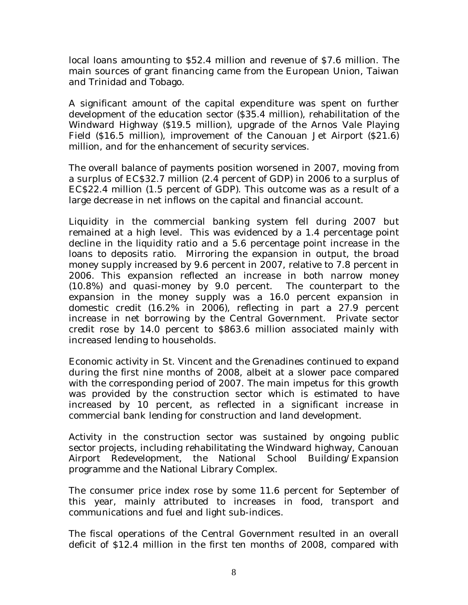local loans amounting to \$52.4 million and revenue of \$7.6 million. The main sources of grant financing came from the European Union, Taiwan and Trinidad and Tobago.

A significant amount of the capital expenditure was spent on further development of the education sector (\$35.4 million), rehabilitation of the Windward Highway (\$19.5 million), upgrade of the Arnos Vale Playing Field (\$16.5 million), improvement of the Canouan Jet Airport (\$21.6) million, and for the enhancement of security services.

The overall balance of payments position worsened in 2007, moving from a surplus of EC\$32.7 million (2.4 percent of GDP) in 2006 to a surplus of EC\$22.4 million (1.5 percent of GDP). This outcome was as a result of a large decrease in net inflows on the capital and financial account.

Liquidity in the commercial banking system fell during 2007 but remained at a high level. This was evidenced by a 1.4 percentage point decline in the liquidity ratio and a 5.6 percentage point increase in the loans to deposits ratio. Mirroring the expansion in output, the broad money supply increased by 9.6 percent in 2007, relative to 7.8 percent in 2006. This expansion reflected an increase in both narrow money (10.8%) and quasi-money by 9.0 percent. The counterpart to the expansion in the money supply was a 16.0 percent expansion in domestic credit (16.2% in 2006), reflecting in part a 27.9 percent increase in net borrowing by the Central Government. Private sector credit rose by 14.0 percent to \$863.6 million associated mainly with increased lending to households.

Economic activity in St. Vincent and the Grenadines continued to expand during the first nine months of 2008, albeit at a slower pace compared with the corresponding period of 2007. The main impetus for this growth was provided by the construction sector which is estimated to have increased by 10 percent, as reflected in a significant increase in commercial bank lending for construction and land development.

Activity in the construction sector was sustained by ongoing public sector projects, including rehabilitating the Windward highway, Canouan Airport Redevelopment, the National School Building/Expansion programme and the National Library Complex.

The consumer price index rose by some 11.6 percent for September of this year, mainly attributed to increases in food, transport and communications and fuel and light sub-indices.

The fiscal operations of the Central Government resulted in an overall deficit of \$12.4 million in the first ten months of 2008, compared with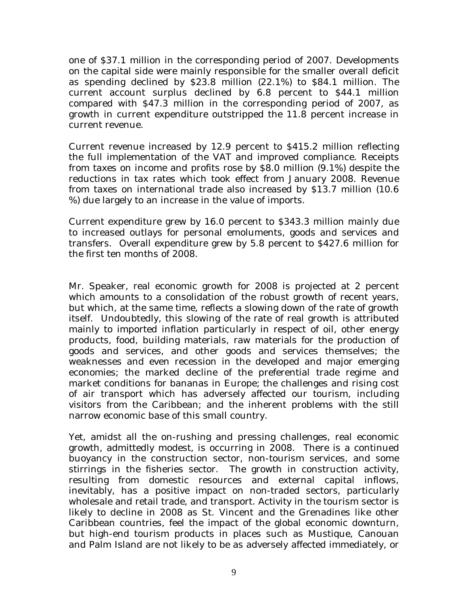one of \$37.1 million in the corresponding period of 2007. Developments on the capital side were mainly responsible for the smaller overall deficit as spending declined by \$23.8 million (22.1%) to \$84.1 million. The current account surplus declined by 6.8 percent to \$44.1 million compared with \$47.3 million in the corresponding period of 2007, as growth in current expenditure outstripped the 11.8 percent increase in current revenue.

Current revenue increased by 12.9 percent to \$415.2 million reflecting the full implementation of the VAT and improved compliance. Receipts from taxes on income and profits rose by \$8.0 million (9.1%) despite the reductions in tax rates which took effect from January 2008. Revenue from taxes on international trade also increased by \$13.7 million (10.6 %) due largely to an increase in the value of imports.

Current expenditure grew by 16.0 percent to \$343.3 million mainly due to increased outlays for personal emoluments, goods and services and transfers. Overall expenditure grew by 5.8 percent to \$427.6 million for the first ten months of 2008.

Mr. Speaker, real economic growth for 2008 is projected at 2 percent which amounts to a consolidation of the robust growth of recent years, but which, at the same time, reflects a slowing down of the rate of growth itself. Undoubtedly, this slowing of the rate of real growth is attributed mainly to imported inflation particularly in respect of oil, other energy products, food, building materials, raw materials for the production of goods and services, and other goods and services themselves; the weaknesses and even recession in the developed and major emerging economies; the marked decline of the preferential trade regime and market conditions for bananas in Europe; the challenges and rising cost of air transport which has adversely affected our tourism, including visitors from the Caribbean; and the inherent problems with the still narrow economic base of this small country.

Yet, amidst all the on-rushing and pressing challenges, real economic growth, admittedly modest, is occurring in 2008. There is a continued buoyancy in the construction sector, non-tourism services, and some stirrings in the fisheries sector. The growth in construction activity, resulting from domestic resources and external capital inflows, inevitably, has a positive impact on non-traded sectors, particularly wholesale and retail trade, and transport. Activity in the tourism sector is likely to decline in 2008 as St. Vincent and the Grenadines like other Caribbean countries, feel the impact of the global economic downturn, but high-end tourism products in places such as Mustique, Canouan and Palm Island are not likely to be as adversely affected immediately, or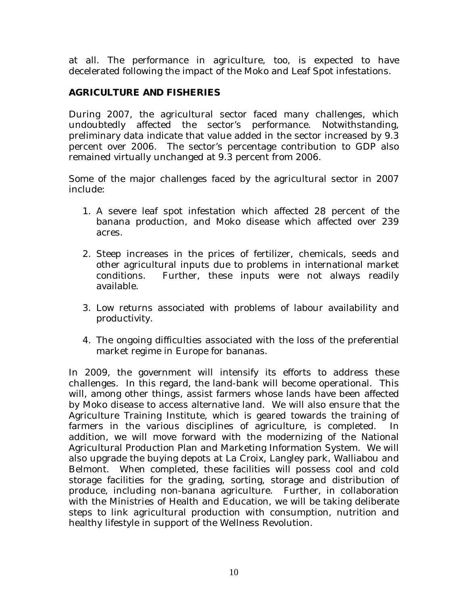at all. The performance in agriculture, too, is expected to have decelerated following the impact of the Moko and Leaf Spot infestations.

#### **AGRICULTURE AND FISHERIES**

During 2007, the agricultural sector faced many challenges, which undoubtedly affected the sector's performance. Notwithstanding, preliminary data indicate that value added in the sector increased by 9.3 percent over 2006. The sector's percentage contribution to GDP also remained virtually unchanged at 9.3 percent from 2006.

Some of the major challenges faced by the agricultural sector in 2007 include:

- 1. A severe leaf spot infestation which affected 28 percent of the banana production, and Moko disease which affected over 239 acres.
- 2. Steep increases in the prices of fertilizer, chemicals, seeds and other agricultural inputs due to problems in international market conditions. Further, these inputs were not always readily available.
- 3. Low returns associated with problems of labour availability and productivity.
- 4. The ongoing difficulties associated with the loss of the preferential market regime in Europe for bananas.

In 2009, the government will intensify its efforts to address these challenges. In this regard, the land-bank will become operational. This will, among other things, assist farmers whose lands have been affected by Moko disease to access alternative land. We will also ensure that the Agriculture Training Institute, which is geared towards the training of farmers in the various disciplines of agriculture, is completed. In addition, we will move forward with the modernizing of the National Agricultural Production Plan and Marketing Information System. We will also upgrade the buying depots at La Croix, Langley park, Walliabou and Belmont. When completed, these facilities will possess cool and cold storage facilities for the grading, sorting, storage and distribution of produce, including non-banana agriculture. Further, in collaboration with the Ministries of Health and Education, we will be taking deliberate steps to link agricultural production with consumption, nutrition and healthy lifestyle in support of the Wellness Revolution.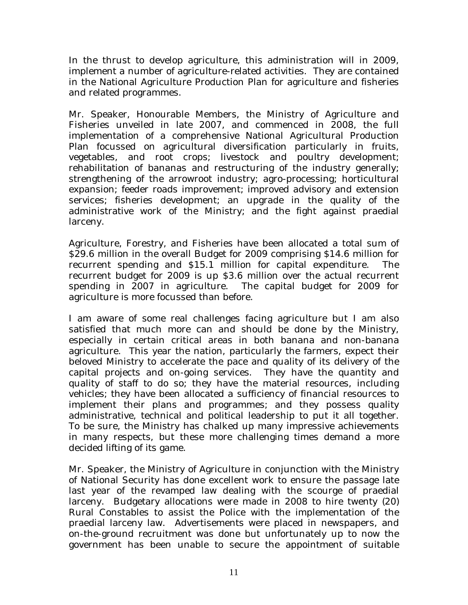In the thrust to develop agriculture, this administration will in 2009, implement a number of agriculture-related activities. They are contained in the National Agriculture Production Plan for agriculture and fisheries and related programmes.

Mr. Speaker, Honourable Members, the Ministry of Agriculture and Fisheries unveiled in late 2007, and commenced in 2008, the full implementation of a comprehensive National Agricultural Production Plan focussed on agricultural diversification particularly in fruits, vegetables, and root crops; livestock and poultry development; rehabilitation of bananas and restructuring of the industry generally; strengthening of the arrowroot industry; agro-processing; horticultural expansion; feeder roads improvement; improved advisory and extension services; fisheries development; an upgrade in the quality of the administrative work of the Ministry; and the fight against praedial larceny.

Agriculture, Forestry, and Fisheries have been allocated a total sum of \$29.6 million in the overall Budget for 2009 comprising \$14.6 million for recurrent spending and \$15.1 million for capital expenditure. The recurrent budget for 2009 is up \$3.6 million over the actual recurrent spending in 2007 in agriculture. The capital budget for 2009 for agriculture is more focussed than before.

I am aware of some real challenges facing agriculture but I am also satisfied that much more can and should be done by the Ministry, especially in certain critical areas in both banana and non-banana agriculture. This year the nation, particularly the farmers, expect their beloved Ministry to accelerate the pace and quality of its delivery of the capital projects and on-going services. They have the quantity and quality of staff to do so; they have the material resources, including vehicles; they have been allocated a sufficiency of financial resources to implement their plans and programmes; and they possess quality administrative, technical and political leadership to put it all together. To be sure, the Ministry has chalked up many impressive achievements in many respects, but these more challenging times demand a more decided lifting of its game.

Mr. Speaker, the Ministry of Agriculture in conjunction with the Ministry of National Security has done excellent work to ensure the passage late last year of the revamped law dealing with the scourge of praedial larceny. Budgetary allocations were made in 2008 to hire twenty (20) Rural Constables to assist the Police with the implementation of the praedial larceny law. Advertisements were placed in newspapers, and on-the-ground recruitment was done but unfortunately up to now the government has been unable to secure the appointment of suitable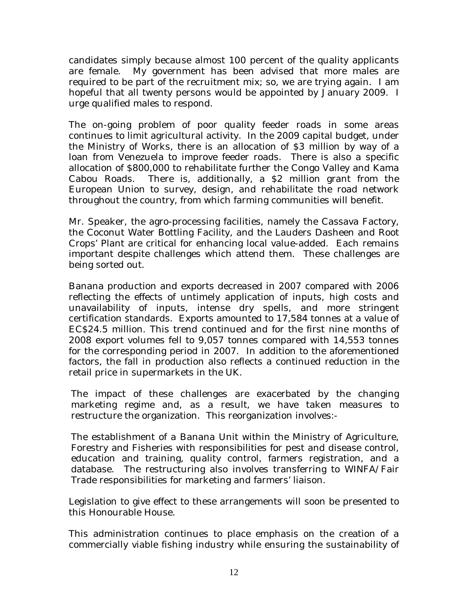candidates simply because almost 100 percent of the quality applicants are female. My government has been advised that more males are required to be part of the recruitment mix; so, we are trying again. I am hopeful that all twenty persons would be appointed by January 2009. I urge qualified males to respond.

The on-going problem of poor quality feeder roads in some areas continues to limit agricultural activity. In the 2009 capital budget, under the Ministry of Works, there is an allocation of \$3 million by way of a loan from Venezuela to improve feeder roads. There is also a specific allocation of \$800,000 to rehabilitate further the Congo Valley and Kama Cabou Roads. There is, additionally, a \$2 million grant from the European Union to survey, design, and rehabilitate the road network throughout the country, from which farming communities will benefit.

Mr. Speaker, the agro-processing facilities, namely the Cassava Factory, the Coconut Water Bottling Facility, and the Lauders Dasheen and Root Crops' Plant are critical for enhancing local value-added. Each remains important despite challenges which attend them. These challenges are being sorted out.

Banana production and exports decreased in 2007 compared with 2006 reflecting the effects of untimely application of inputs, high costs and unavailability of inputs, intense dry spells, and more stringent certification standards. Exports amounted to 17,584 tonnes at a value of EC\$24.5 million. This trend continued and for the first nine months of 2008 export volumes fell to 9,057 tonnes compared with 14,553 tonnes for the corresponding period in 2007. In addition to the aforementioned factors, the fall in production also reflects a continued reduction in the retail price in supermarkets in the UK.

The impact of these challenges are exacerbated by the changing marketing regime and, as a result, we have taken measures to restructure the organization. This reorganization involves:-

The establishment of a Banana Unit within the Ministry of Agriculture, Forestry and Fisheries with responsibilities for pest and disease control, education and training, quality control, farmers registration, and a database. The restructuring also involves transferring to WINFA/Fair Trade responsibilities for marketing and farmers' liaison.

Legislation to give effect to these arrangements will soon be presented to this Honourable House.

This administration continues to place emphasis on the creation of a commercially viable fishing industry while ensuring the sustainability of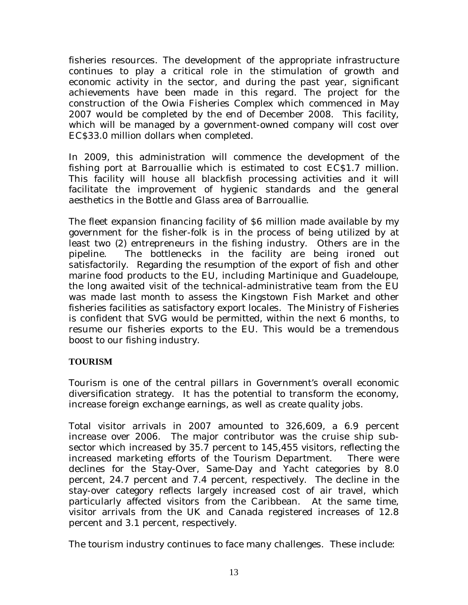fisheries resources. The development of the appropriate infrastructure continues to play a critical role in the stimulation of growth and economic activity in the sector, and during the past year, significant achievements have been made in this regard. The project for the construction of the Owia Fisheries Complex which commenced in May 2007 would be completed by the end of December 2008. This facility, which will be managed by a government-owned company will cost over EC\$33.0 million dollars when completed.

In 2009, this administration will commence the development of the fishing port at Barrouallie which is estimated to cost EC\$1.7 million. This facility will house all blackfish processing activities and it will facilitate the improvement of hygienic standards and the general aesthetics in the Bottle and Glass area of Barrouallie.

The fleet expansion financing facility of \$6 million made available by my government for the fisher-folk is in the process of being utilized by at least two (2) entrepreneurs in the fishing industry. Others are in the pipeline. The bottlenecks in the facility are being ironed out satisfactorily. Regarding the resumption of the export of fish and other marine food products to the EU, including Martinique and Guadeloupe, the long awaited visit of the technical-administrative team from the EU was made last month to assess the Kingstown Fish Market and other fisheries facilities as satisfactory export locales. The Ministry of Fisheries is confident that SVG would be permitted, within the next 6 months, to resume our fisheries exports to the EU. This would be a tremendous boost to our fishing industry.

#### **TOURISM**

Tourism is one of the central pillars in Government's overall economic diversification strategy. It has the potential to transform the economy, increase foreign exchange earnings, as well as create quality jobs.

Total visitor arrivals in 2007 amounted to 326,609, a 6.9 percent increase over 2006. The major contributor was the cruise ship subsector which increased by 35.7 percent to 145,455 visitors, reflecting the increased marketing efforts of the Tourism Department. There were declines for the Stay-Over, Same-Day and Yacht categories by 8.0 percent, 24.7 percent and 7.4 percent, respectively. The decline in the stay-over category reflects largely increased cost of air travel, which particularly affected visitors from the Caribbean. At the same time, visitor arrivals from the UK and Canada registered increases of 12.8 percent and 3.1 percent, respectively.

The tourism industry continues to face many challenges. These include: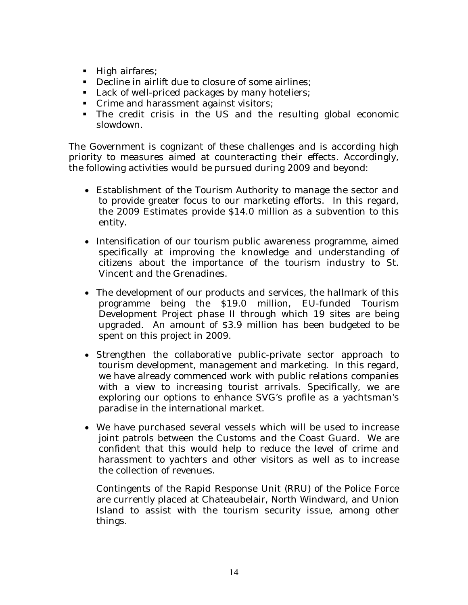- High airfares;
- Decline in airlift due to closure of some airlines;
- Lack of well-priced packages by many hoteliers;
- Crime and harassment against visitors;
- The credit crisis in the US and the resulting global economic slowdown.

The Government is cognizant of these challenges and is according high priority to measures aimed at counteracting their effects. Accordingly, the following activities would be pursued during 2009 and beyond:

- Establishment of the Tourism Authority to manage the sector and to provide greater focus to our marketing efforts. In this regard, the 2009 Estimates provide \$14.0 million as a subvention to this entity.
- Intensification of our tourism public awareness programme, aimed specifically at improving the knowledge and understanding of citizens about the importance of the tourism industry to St. Vincent and the Grenadines.
- The development of our products and services, the hallmark of this programme being the \$19.0 million, EU-funded Tourism Development Project phase II through which 19 sites are being upgraded.An amount of \$3.9 million has been budgeted to be spent on this project in 2009.
- Strengthen the collaborative public-private sector approach to tourism development, management and marketing. In this regard, we have already commenced work with public relations companies with a view to increasing tourist arrivals. Specifically, we are exploring our options to enhance SVG's profile as a yachtsman's paradise in the international market.
- We have purchased several vessels which will be used to increase joint patrols between the Customs and the Coast Guard. We are confident that this would help to reduce the level of crime and harassment to yachters and other visitors as well as to increase the collection of revenues.

Contingents of the Rapid Response Unit (RRU) of the Police Force are currently placed at Chateaubelair, North Windward, and Union Island to assist with the tourism security issue, among other things.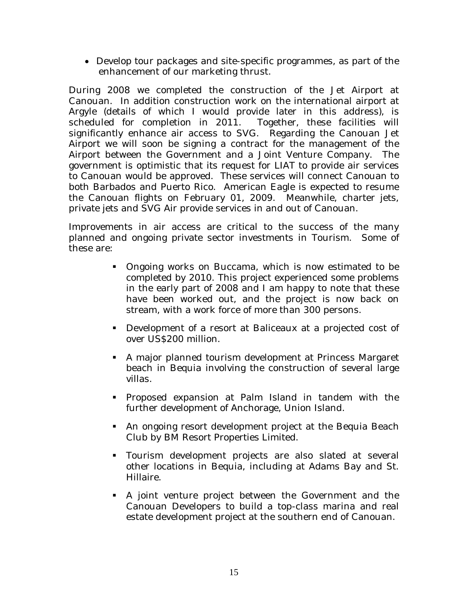• Develop tour packages and site-specific programmes, as part of the enhancement of our marketing thrust.

During 2008 we completed the construction of the Jet Airport at Canouan. In addition construction work on the international airport at Argyle (details of which I would provide later in this address), is scheduled for completion in 2011. Together, these facilities will significantly enhance air access to SVG. Regarding the Canouan Jet Airport we will soon be signing a contract for the management of the Airport between the Government and a Joint Venture Company. The government is optimistic that its request for LIAT to provide air services to Canouan would be approved. These services will connect Canouan to both Barbados and Puerto Rico. American Eagle is expected to resume the Canouan flights on February 01, 2009. Meanwhile, charter jets, private jets and SVG Air provide services in and out of Canouan.

Improvements in air access are critical to the success of the many planned and ongoing private sector investments in Tourism. Some of these are:

- Ongoing works on Buccama, which is now estimated to be completed by 2010. This project experienced some problems in the early part of 2008 and I am happy to note that these have been worked out, and the project is now back on stream, with a work force of more than 300 persons.
- Development of a resort at Baliceaux at a projected cost of over US\$200 million.
- A major planned tourism development at Princess Margaret beach in Bequia involving the construction of several large villas.
- Proposed expansion at Palm Island in tandem with the further development of Anchorage, Union Island.
- An ongoing resort development project at the Bequia Beach Club by BM Resort Properties Limited.
- Tourism development projects are also slated at several other locations in Bequia, including at Adams Bay and St. Hillaire.
- A joint venture project between the Government and the Canouan Developers to build a top-class marina and real estate development project at the southern end of Canouan.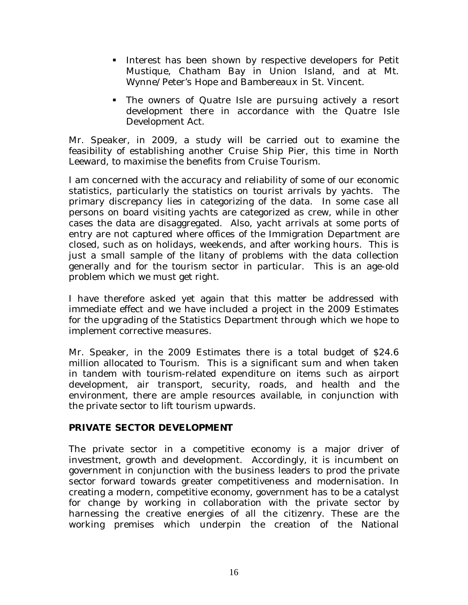- Interest has been shown by respective developers for Petit Mustique, Chatham Bay in Union Island, and at Mt. Wynne/Peter's Hope and Bambereaux in St. Vincent.
- The owners of Quatre Isle are pursuing actively a resort development there in accordance with the Quatre Isle Development Act.

Mr. Speaker, in 2009, a study will be carried out to examine the feasibility of establishing another Cruise Ship Pier, this time in North Leeward, to maximise the benefits from Cruise Tourism.

I am concerned with the accuracy and reliability of some of our economic statistics, particularly the statistics on tourist arrivals by yachts. The primary discrepancy lies in categorizing of the data. In some case all persons on board visiting yachts are categorized as crew, while in other cases the data are disaggregated. Also, yacht arrivals at some ports of entry are not captured where offices of the Immigration Department are closed, such as on holidays, weekends, and after working hours. This is just a small sample of the litany of problems with the data collection generally and for the tourism sector in particular. This is an age-old problem which we must get right.

I have therefore asked yet again that this matter be addressed with immediate effect and we have included a project in the 2009 Estimates for the upgrading of the Statistics Department through which we hope to implement corrective measures.

Mr. Speaker, in the 2009 Estimates there is a total budget of \$24.6 million allocated to Tourism. This is a significant sum and when taken in tandem with tourism-related expenditure on items such as airport development, air transport, security, roads, and health and the environment, there are ample resources available, in conjunction with the private sector to lift tourism upwards.

#### **PRIVATE SECTOR DEVELOPMENT**

The private sector in a competitive economy is a major driver of investment, growth and development. Accordingly, it is incumbent on government in conjunction with the business leaders to prod the private sector forward towards greater competitiveness and modernisation. In creating a modern, competitive economy, government has to be a catalyst for change by working in collaboration with the private sector by harnessing the creative energies of all the citizenry. These are the working premises which underpin the creation of the National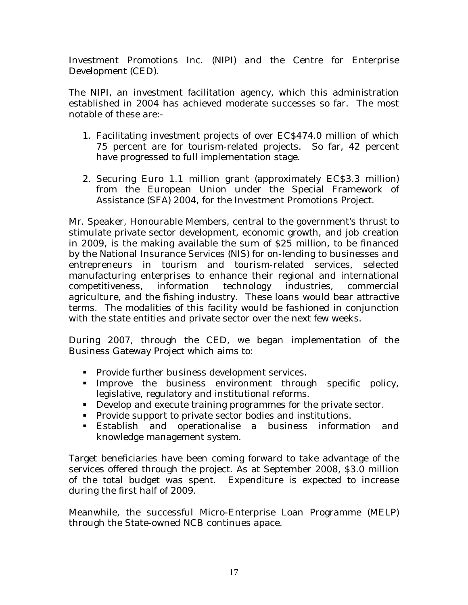Investment Promotions Inc. (NIPI) and the Centre for Enterprise Development (CED).

The NIPI, an investment facilitation agency, which this administration established in 2004 has achieved moderate successes so far. The most notable of these are:-

- 1. Facilitating investment projects of over EC\$474.0 million of which 75 percent are for tourism-related projects. So far, 42 percent have progressed to full implementation stage.
- 2. Securing Euro 1.1 million grant (approximately EC\$3.3 million) from the European Union under the Special Framework of Assistance (SFA) 2004, for the Investment Promotions Project.

Mr. Speaker, Honourable Members, central to the government's thrust to stimulate private sector development, economic growth, and job creation in 2009, is the making available the sum of \$25 million, to be financed by the National Insurance Services (NIS) for on-lending to businesses and entrepreneurs in tourism and tourism-related services, selected manufacturing enterprises to enhance their regional and international competitiveness, information technology industries, commercial agriculture, and the fishing industry. These loans would bear attractive terms. The modalities of this facility would be fashioned in conjunction with the state entities and private sector over the next few weeks.

During 2007, through the CED, we began implementation of the Business Gateway Project which aims to:

- **Provide further business development services.**
- Improve the business environment through specific policy, legislative, regulatory and institutional reforms.
- Develop and execute training programmes for the private sector.
- **Provide support to private sector bodies and institutions.**
- Establish and operationalise a business information and knowledge management system.

Target beneficiaries have been coming forward to take advantage of the services offered through the project. As at September 2008, \$3.0 million of the total budget was spent. Expenditure is expected to increase during the first half of 2009.

Meanwhile, the successful Micro-Enterprise Loan Programme (MELP) through the State-owned NCB continues apace.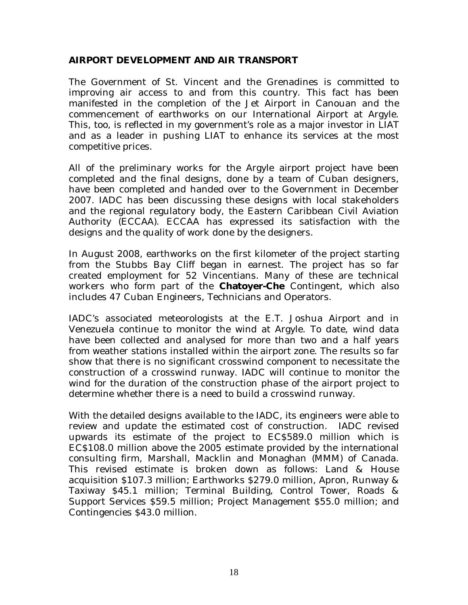#### **AIRPORT DEVELOPMENT AND AIR TRANSPORT**

The Government of St. Vincent and the Grenadines is committed to improving air access to and from this country. This fact has been manifested in the completion of the Jet Airport in Canouan and the commencement of earthworks on our International Airport at Argyle. This, too, is reflected in my government's role as a major investor in LIAT and as a leader in pushing LIAT to enhance its services at the most competitive prices.

All of the preliminary works for the Argyle airport project have been completed and the final designs, done by a team of Cuban designers, have been completed and handed over to the Government in December 2007. IADC has been discussing these designs with local stakeholders and the regional regulatory body, the Eastern Caribbean Civil Aviation Authority (ECCAA). ECCAA has expressed its satisfaction with the designs and the quality of work done by the designers.

In August 2008, earthworks on the first kilometer of the project starting from the Stubbs Bay Cliff began in earnest. The project has so far created employment for 52 Vincentians. Many of these are technical workers who form part of the **Chatoyer-Che** Contingent, which also includes 47 Cuban Engineers, Technicians and Operators.

IADC's associated meteorologists at the E.T. Joshua Airport and in Venezuela continue to monitor the wind at Argyle. To date, wind data have been collected and analysed for more than two and a half years from weather stations installed within the airport zone. The results so far show that there is no significant crosswind component to necessitate the construction of a crosswind runway. IADC will continue to monitor the wind for the duration of the construction phase of the airport project to determine whether there is a need to build a crosswind runway.

With the detailed designs available to the IADC, its engineers were able to review and update the estimated cost of construction. IADC revised upwards its estimate of the project to EC\$589.0 million which is EC\$108.0 million above the 2005 estimate provided by the international consulting firm, Marshall, Macklin and Monaghan (MMM) of Canada. This revised estimate is broken down as follows: Land & House acquisition \$107.3 million; Earthworks \$279.0 million, Apron, Runway & Taxiway \$45.1 million; Terminal Building, Control Tower, Roads & Support Services \$59.5 million; Project Management \$55.0 million; and Contingencies \$43.0 million.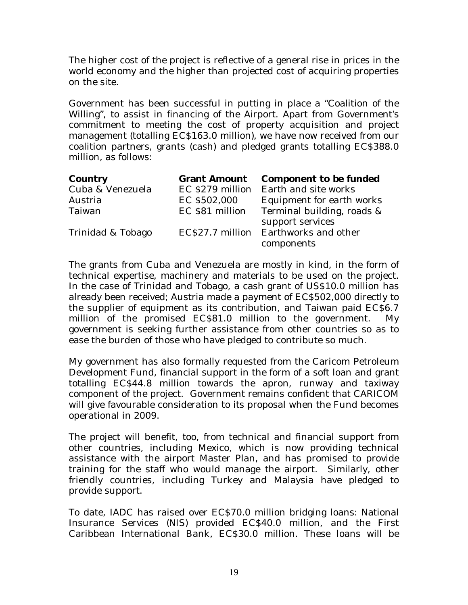The higher cost of the project is reflective of a general rise in prices in the world economy and the higher than projected cost of acquiring properties on the site.

Government has been successful in putting in place a "Coalition of the Willing", to assist in financing of the Airport. Apart from Government's commitment to meeting the cost of property acquisition and project management (totalling EC\$163.0 million), we have now received from our coalition partners, grants (cash) and pledged grants totalling EC\$388.0 million, as follows:

| <b>Country</b>    |                 | <b>Grant Amount</b> Component to be funded |
|-------------------|-----------------|--------------------------------------------|
| Cuba & Venezuela  |                 | EC \$279 million Earth and site works      |
| Austria           | EC \$502,000    | Equipment for earth works                  |
| Taiwan            | EC \$81 million | Terminal building, roads &                 |
|                   |                 | support services                           |
| Trinidad & Tobago |                 | EC\$27.7 million Earthworks and other      |
|                   |                 | components                                 |

The grants from Cuba and Venezuela are mostly in kind, in the form of technical expertise, machinery and materials to be used on the project. In the case of Trinidad and Tobago, a cash grant of US\$10.0 million has already been received; Austria made a payment of EC\$502,000 directly to the supplier of equipment as its contribution, and Taiwan paid EC\$6.7 million of the promised EC\$81.0 million to the government. My government is seeking further assistance from other countries so as to ease the burden of those who have pledged to contribute so much.

My government has also formally requested from the Caricom Petroleum Development Fund, financial support in the form of a soft loan and grant totalling EC\$44.8 million towards the apron, runway and taxiway component of the project. Government remains confident that CARICOM will give favourable consideration to its proposal when the Fund becomes operational in 2009.

The project will benefit, too, from technical and financial support from other countries, including Mexico, which is now providing technical assistance with the airport Master Plan, and has promised to provide training for the staff who would manage the airport. Similarly, other friendly countries, including Turkey and Malaysia have pledged to provide support.

To date, IADC has raised over EC\$70.0 million bridging loans: National Insurance Services (NIS) provided EC\$40.0 million, and the First Caribbean International Bank, EC\$30.0 million. These loans will be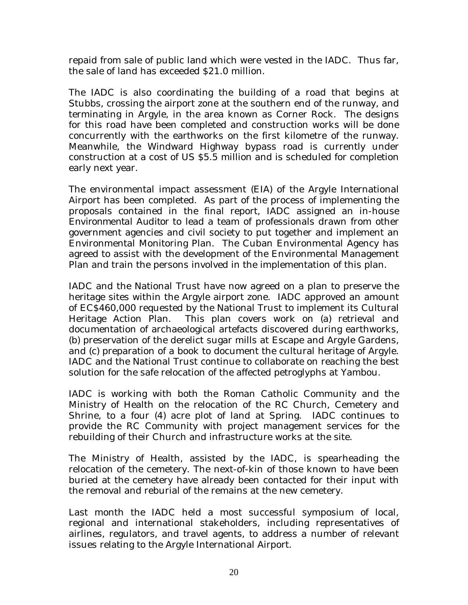repaid from sale of public land which were vested in the IADC. Thus far, the sale of land has exceeded \$21.0 million.

The IADC is also coordinating the building of a road that begins at Stubbs, crossing the airport zone at the southern end of the runway, and terminating in Argyle, in the area known as Corner Rock. The designs for this road have been completed and construction works will be done concurrently with the earthworks on the first kilometre of the runway. Meanwhile, the Windward Highway bypass road is currently under construction at a cost of US \$5.5 million and is scheduled for completion early next year.

The environmental impact assessment (EIA) of the Argyle International Airport has been completed. As part of the process of implementing the proposals contained in the final report, IADC assigned an in-house *Environmental Auditor* to lead a team of professionals drawn from other government agencies and civil society to put together and implement an Environmental Monitoring Plan. The Cuban Environmental Agency has agreed to assist with the development of the Environmental Management Plan and train the persons involved in the implementation of this plan.

IADC and the National Trust have now agreed on a plan to preserve the heritage sites within the Argyle airport zone. IADC approved an amount of EC\$460,000 requested by the National Trust to implement its Cultural Heritage Action Plan. This plan covers work on (a) retrieval and documentation of archaeological artefacts discovered during earthworks, (b) preservation of the derelict sugar mills at Escape and Argyle Gardens, and (c) preparation of a book to document the cultural heritage of Argyle. IADC and the National Trust continue to collaborate on reaching the best solution for the safe relocation of the affected petroglyphs at Yambou.

IADC is working with both the Roman Catholic Community and the Ministry of Health on the relocation of the RC Church, Cemetery and Shrine, to a four (4) acre plot of land at Spring. IADC continues to provide the RC Community with project management services for the rebuilding of their Church and infrastructure works at the site.

The Ministry of Health, assisted by the IADC, is spearheading the relocation of the cemetery. The next-of-kin of those known to have been buried at the cemetery have already been contacted for their input with the removal and reburial of the remains at the new cemetery.

Last month the IADC held a most successful symposium of local, regional and international stakeholders, including representatives of airlines, regulators, and travel agents, to address a number of relevant issues relating to the Argyle International Airport.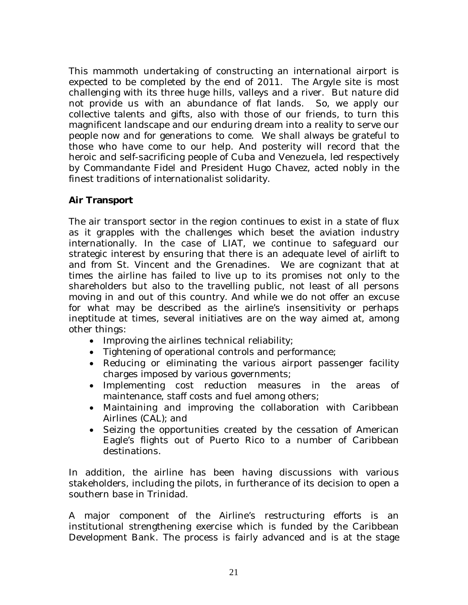This mammoth undertaking of constructing an international airport is expected to be completed by the end of 2011. The Argyle site is most challenging with its three huge hills, valleys and a river. But nature did not provide us with an abundance of flat lands. So, we apply our collective talents and gifts, also with those of our friends, to turn this magnificent landscape and our enduring dream into a reality to serve our people now and for generations to come. We shall always be grateful to those who have come to our help. And posterity will record that the heroic and self-sacrificing people of Cuba and Venezuela, led respectively by Commandante Fidel and President Hugo Chavez, acted nobly in the finest traditions of internationalist solidarity.

#### **Air Transport**

The air transport sector in the region continues to exist in a state of flux as it grapples with the challenges which beset the aviation industry internationally. In the case of LIAT, we continue to safeguard our strategic interest by ensuring that there is an adequate level of airlift to and from St. Vincent and the Grenadines. We are cognizant that at times the airline has failed to live up to its promises not only to the shareholders but also to the travelling public, not least of all persons moving in and out of this country. And while we do not offer an excuse for what may be described as the airline's insensitivity or perhaps ineptitude at times, several initiatives are on the way aimed at, among other things:

- Improving the airlines technical reliability;
- Tightening of operational controls and performance;
- Reducing or eliminating the various airport passenger facility charges imposed by various governments;
- Implementing cost reduction measures in the areas of maintenance, staff costs and fuel among others;
- Maintaining and improving the collaboration with Caribbean Airlines (CAL); and
- Seizing the opportunities created by the cessation of American Eagle's flights out of Puerto Rico to a number of Caribbean destinations.

In addition, the airline has been having discussions with various stakeholders, including the pilots, in furtherance of its decision to open a southern base in Trinidad.

A major component of the Airline's restructuring efforts is an institutional strengthening exercise which is funded by the Caribbean Development Bank. The process is fairly advanced and is at the stage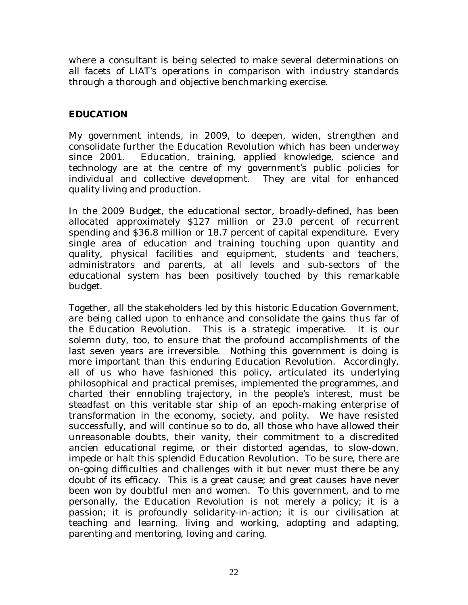where a consultant is being selected to make several determinations on all facets of LIAT's operations in comparison with industry standards through a thorough and objective benchmarking exercise.

#### **EDUCATION**

My government intends, in 2009, to deepen, widen, strengthen and consolidate further the Education Revolution which has been underway since 2001. Education, training, applied knowledge, science and technology are at the centre of my government's public policies for individual and collective development. They are vital for enhanced quality living and production.

In the 2009 Budget, the educational sector, broadly-defined, has been allocated approximately \$127 million or 23.0 percent of recurrent spending and \$36.8 million or 18.7 percent of capital expenditure. Every single area of education and training touching upon quantity and quality, physical facilities and equipment, students and teachers, administrators and parents, at all levels and sub-sectors of the educational system has been positively touched by this remarkable budget.

Together, all the stakeholders led by this historic Education Government, are being called upon to enhance and consolidate the gains thus far of the Education Revolution. This is a strategic imperative. It is our solemn duty, too, to ensure that the profound accomplishments of the last seven years are irreversible. Nothing this government is doing is more important than this enduring Education Revolution. Accordingly, all of us who have fashioned this policy, articulated its underlying philosophical and practical premises, implemented the programmes, and charted their ennobling trajectory, in the people's interest, must be steadfast on this veritable star ship of an epoch-making enterprise of transformation in the economy, society, and polity. We have resisted successfully, and will continue so to do, all those who have allowed their unreasonable doubts, their vanity, their commitment to a discredited ancien educational regime, or their distorted agendas, to slow-down, impede or halt this splendid Education Revolution. To be sure, there are on-going difficulties and challenges with it but never must there be any doubt of its efficacy. This is a great cause; and great causes have never been won by doubtful men and women. To this government, and to me personally, the Education Revolution is not merely a policy; it is a passion; it is profoundly solidarity-in-action; it is our civilisation at teaching and learning, living and working, adopting and adapting, parenting and mentoring, loving and caring.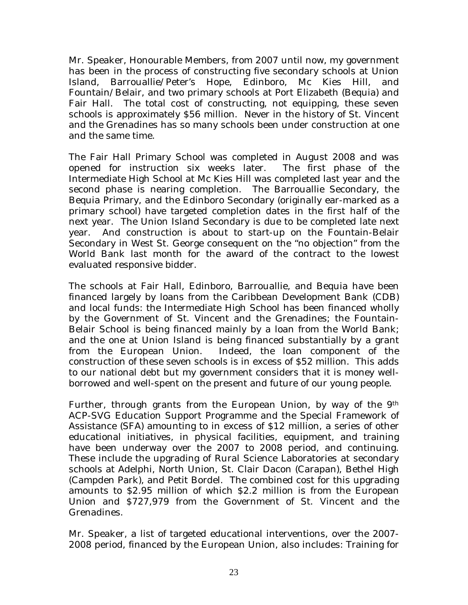Mr. Speaker, Honourable Members, from 2007 until now, my government has been in the process of constructing five secondary schools at Union Island, Barrouallie/Peter's Hope, Edinboro, Mc Kies Hill, and Fountain/Belair, and two primary schools at Port Elizabeth (Bequia) and Fair Hall. The total cost of constructing, not equipping, these seven schools is approximately \$56 million. Never in the history of St. Vincent and the Grenadines has so many schools been under construction at one and the same time.

The Fair Hall Primary School was completed in August 2008 and was opened for instruction six weeks later. The first phase of the Intermediate High School at Mc Kies Hill was completed last year and the second phase is nearing completion. The Barrouallie Secondary, the Bequia Primary, and the Edinboro Secondary (originally ear-marked as a primary school) have targeted completion dates in the first half of the next year. The Union Island Secondary is due to be completed late next year. And construction is about to start-up on the Fountain-Belair Secondary in West St. George consequent on the "no objection" from the World Bank last month for the award of the contract to the lowest evaluated responsive bidder.

The schools at Fair Hall, Edinboro, Barrouallie, and Bequia have been financed largely by loans from the Caribbean Development Bank (CDB) and local funds: the Intermediate High School has been financed wholly by the Government of St. Vincent and the Grenadines; the Fountain-Belair School is being financed mainly by a loan from the World Bank; and the one at Union Island is being financed substantially by a grant from the European Union. Indeed, the loan component of the construction of these seven schools is in excess of \$52 million. This adds to our national debt but my government considers that it is money wellborrowed and well-spent on the present and future of our young people.

Further, through grants from the European Union, by way of the 9<sup>th</sup> ACP-SVG Education Support Programme and the Special Framework of Assistance (SFA) amounting to in excess of \$12 million, a series of other educational initiatives, in physical facilities, equipment, and training have been underway over the 2007 to 2008 period, and continuing. These include the upgrading of Rural Science Laboratories at secondary schools at Adelphi, North Union, St. Clair Dacon (Carapan), Bethel High (Campden Park), and Petit Bordel. The combined cost for this upgrading amounts to \$2.95 million of which \$2.2 million is from the European Union and \$727,979 from the Government of St. Vincent and the Grenadines.

Mr. Speaker, a list of targeted educational interventions, over the 2007- 2008 period, financed by the European Union, also includes: Training for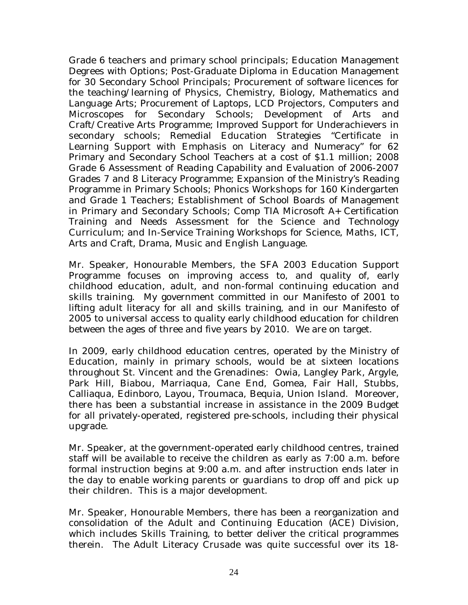Grade 6 teachers and primary school principals; Education Management Degrees with Options; Post-Graduate Diploma in Education Management for 30 Secondary School Principals; Procurement of software licences for the teaching/learning of Physics, Chemistry, Biology, Mathematics and Language Arts; Procurement of Laptops, LCD Projectors, Computers and Microscopes for Secondary Schools; Development of Arts and Craft/Creative Arts Programme; Improved Support for Underachievers in secondary schools; Remedial Education Strategies "Certificate in Learning Support with Emphasis on Literacy and Numeracy" for 62 Primary and Secondary School Teachers at a cost of \$1.1 million; 2008 Grade 6 Assessment of Reading Capability and Evaluation of 2006-2007 Grades 7 and 8 Literacy Programme; Expansion of the Ministry's Reading Programme in Primary Schools; Phonics Workshops for 160 Kindergarten and Grade 1 Teachers; Establishment of School Boards of Management in Primary and Secondary Schools; Comp TIA Microsoft A+ Certification Training and Needs Assessment for the Science and Technology Curriculum; and In-Service Training Workshops for Science, Maths, ICT, Arts and Craft, Drama, Music and English Language.

Mr. Speaker, Honourable Members, the SFA 2003 Education Support Programme focuses on improving access to, and quality of, early childhood education, adult, and non-formal continuing education and skills training. My government committed in our Manifesto of 2001 to lifting adult literacy for all and skills training, and in our Manifesto of 2005 to universal access to quality early childhood education for children between the ages of three and five years by 2010. We are on target.

In 2009, early childhood education centres, operated by the Ministry of Education, mainly in primary schools, would be at sixteen locations throughout St. Vincent and the Grenadines: Owia, Langley Park, Argyle, Park Hill, Biabou, Marriaqua, Cane End, Gomea, Fair Hall, Stubbs, Calliaqua, Edinboro, Layou, Troumaca, Bequia, Union Island. Moreover, there has been a substantial increase in assistance in the 2009 Budget for all privately-operated, registered pre-schools, including their physical upgrade.

Mr. Speaker, at the government-operated early childhood centres, trained staff will be available to receive the children as early as 7:00 a.m. before formal instruction begins at 9:00 a.m. and after instruction ends later in the day to enable working parents or guardians to drop off and pick up their children. This is a major development.

Mr. Speaker, Honourable Members, there has been a reorganization and consolidation of the Adult and Continuing Education (ACE) Division, which includes Skills Training, to better deliver the critical programmes therein. The Adult Literacy Crusade was quite successful over its 18-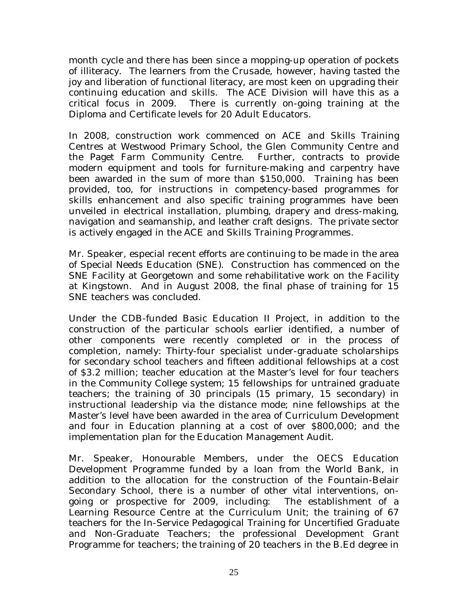month cycle and there has been since a mopping-up operation of pockets of illiteracy. The learners from the Crusade, however, having tasted the joy and liberation of functional literacy, are most keen on upgrading their continuing education and skills. The ACE Division will have this as a critical focus in 2009. There is currently on-going training at the Diploma and Certificate levels for 20 Adult Educators.

In 2008, construction work commenced on ACE and Skills Training Centres at Westwood Primary School, the Glen Community Centre and the Paget Farm Community Centre. Further, contracts to provide modern equipment and tools for furniture-making and carpentry have been awarded in the sum of more than \$150,000. Training has been provided, too, for instructions in competency-based programmes for skills enhancement and also specific training programmes have been unveiled in electrical installation, plumbing, drapery and dress-making, navigation and seamanship, and leather craft designs. The private sector is actively engaged in the ACE and Skills Training Programmes.

Mr. Speaker, especial recent efforts are continuing to be made in the area of Special Needs Education (SNE). Construction has commenced on the SNE Facility at Georgetown and some rehabilitative work on the Facility at Kingstown. And in August 2008, the final phase of training for 15 SNE teachers was concluded.

Under the CDB-funded Basic Education II Project, in addition to the construction of the particular schools earlier identified, a number of other components were recently completed or in the process of completion, namely: Thirty-four specialist under-graduate scholarships for secondary school teachers and fifteen additional fellowships at a cost of \$3.2 million; teacher education at the Master's level for four teachers in the Community College system; 15 fellowships for untrained graduate teachers; the training of 30 principals (15 primary, 15 secondary) in instructional leadership via the distance mode; nine fellowships at the Master's level have been awarded in the area of Curriculum Development and four in Education planning at a cost of over \$800,000; and the implementation plan for the Education Management Audit.

Mr. Speaker, Honourable Members, under the OECS Education Development Programme funded by a loan from the World Bank, in addition to the allocation for the construction of the Fountain-Belair Secondary School, there is a number of other vital interventions, ongoing or prospective for 2009, including: The establishment of a Learning Resource Centre at the Curriculum Unit; the training of 67 teachers for the In-Service Pedagogical Training for Uncertified Graduate and Non-Graduate Teachers; the professional Development Grant Programme for teachers; the training of 20 teachers in the B.Ed degree in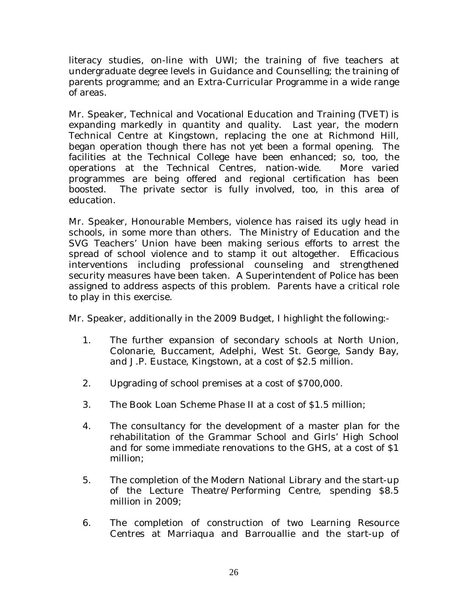literacy studies, on-line with UWI; the training of five teachers at undergraduate degree levels in Guidance and Counselling; the training of parents programme; and an Extra-Curricular Programme in a wide range of areas.

Mr. Speaker, Technical and Vocational Education and Training (TVET) is expanding markedly in quantity and quality. Last year, the modern Technical Centre at Kingstown, replacing the one at Richmond Hill, began operation though there has not yet been a formal opening. The facilities at the Technical College have been enhanced; so, too, the operations at the Technical Centres, nation-wide. More varied programmes are being offered and regional certification has been boosted. The private sector is fully involved, too, in this area of education.

Mr. Speaker, Honourable Members, violence has raised its ugly head in schools, in some more than others. The Ministry of Education and the SVG Teachers' Union have been making serious efforts to arrest the spread of school violence and to stamp it out altogether. Efficacious interventions including professional counseling and strengthened security measures have been taken. A Superintendent of Police has been assigned to address aspects of this problem. Parents have a critical role to play in this exercise.

Mr. Speaker, additionally in the 2009 Budget, I highlight the following:-

- 1. The further expansion of secondary schools at North Union, Colonarie, Buccament, Adelphi, West St. George, Sandy Bay, and J.P. Eustace, Kingstown, at a cost of \$2.5 million.
- 2. Upgrading of school premises at a cost of \$700,000.
- 3. The Book Loan Scheme Phase II at a cost of \$1.5 million;
- 4. The consultancy for the development of a master plan for the rehabilitation of the Grammar School and Girls' High School and for some immediate renovations to the GHS, at a cost of \$1 million;
- 5. The completion of the Modern National Library and the start-up of the Lecture Theatre/Performing Centre, spending \$8.5 million in 2009;
- 6. The completion of construction of two Learning Resource Centres at Marriaqua and Barrouallie and the start-up of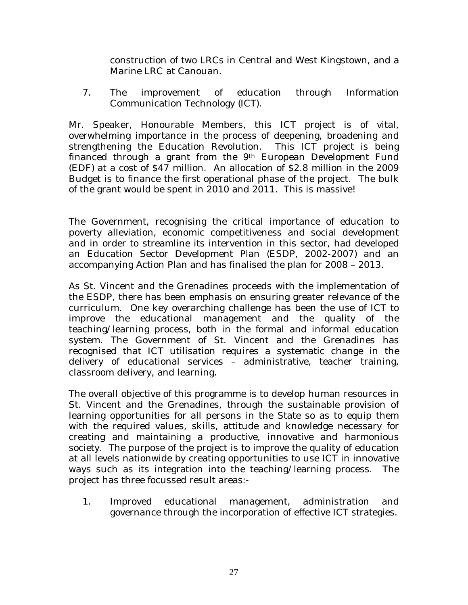construction of two LRCs in Central and West Kingstown, and a Marine LRC at Canouan.

7. The improvement of education through Information Communication Technology (ICT).

Mr. Speaker, Honourable Members, this ICT project is of vital, overwhelming importance in the process of deepening, broadening and strengthening the Education Revolution. This ICT project is being financed through a grant from the  $9<sup>th</sup>$  European Development Fund (EDF) at a cost of \$47 million. An allocation of \$2.8 million in the 2009 Budget is to finance the first operational phase of the project. The bulk of the grant would be spent in 2010 and 2011. This is massive!

The Government, recognising the critical importance of education to poverty alleviation, economic competitiveness and social development and in order to streamline its intervention in this sector, had developed an Education Sector Development Plan (ESDP, 2002-2007) and an accompanying Action Plan and has finalised the plan for 2008 – 2013.

As St. Vincent and the Grenadines proceeds with the implementation of the ESDP, there has been emphasis on ensuring greater relevance of the curriculum. One key overarching challenge has been the use of ICT to improve the educational management and the quality of the teaching/learning process, both in the formal and informal education system. The Government of St. Vincent and the Grenadines has recognised that ICT utilisation requires a systematic change in the delivery of educational services – administrative, teacher training, classroom delivery, and learning.

The overall objective of this programme is to develop human resources in St. Vincent and the Grenadines, through the sustainable provision of learning opportunities for all persons in the State so as to equip them with the required values, skills, attitude and knowledge necessary for creating and maintaining a productive, innovative and harmonious society. The purpose of the project is to improve the quality of education at all levels nationwide by creating opportunities to use ICT in innovative ways such as its integration into the teaching/learning process. The project has three focussed result areas:-

1. Improved educational management, administration and governance through the incorporation of effective ICT strategies.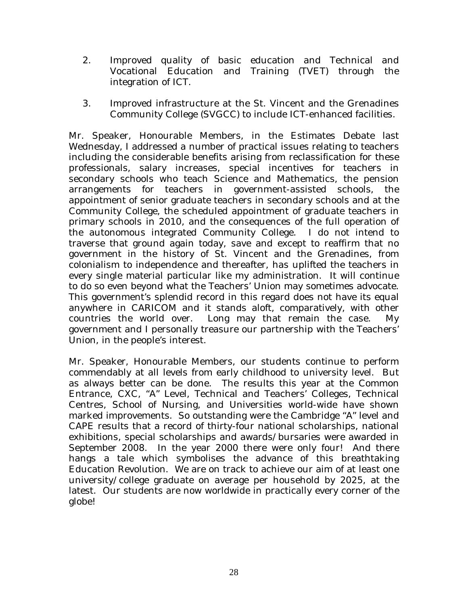- 2. Improved quality of basic education and Technical and Vocational Education and Training (TVET) through the integration of ICT.
- 3. Improved infrastructure at the St. Vincent and the Grenadines Community College (SVGCC) to include ICT-enhanced facilities.

Mr. Speaker, Honourable Members, in the Estimates Debate last Wednesday, I addressed a number of practical issues relating to teachers including the considerable benefits arising from reclassification for these professionals, salary increases, special incentives for teachers in secondary schools who teach Science and Mathematics, the pension arrangements for teachers in government-assisted schools, the appointment of senior graduate teachers in secondary schools and at the Community College, the scheduled appointment of graduate teachers in primary schools in 2010, and the consequences of the full operation of the autonomous integrated Community College. I do not intend to traverse that ground again today, save and except to reaffirm that no government in the history of St. Vincent and the Grenadines, from colonialism to independence and thereafter, has uplifted the teachers in every single material particular like my administration. It will continue to do so even beyond what the Teachers' Union may sometimes advocate. This government's splendid record in this regard does not have its equal anywhere in CARICOM and it stands aloft, comparatively, with other countries the world over. Long may that remain the case. My government and I personally treasure our partnership with the Teachers' Union, in the people's interest.

Mr. Speaker, Honourable Members, our students continue to perform commendably at all levels from early childhood to university level. But as always better can be done. The results this year at the Common Entrance, CXC, "A" Level, Technical and Teachers' Colleges, Technical Centres, School of Nursing, and Universities world-wide have shown marked improvements. So outstanding were the Cambridge "A" level and CAPE results that a record of thirty-four national scholarships, national exhibitions, special scholarships and awards/bursaries were awarded in September 2008. In the year 2000 there were only four! And there hangs a tale which symbolises the advance of this breathtaking Education Revolution. We are on track to achieve our aim of at least one university/college graduate on average per household by 2025, at the latest. Our students are now worldwide in practically every corner of the globe!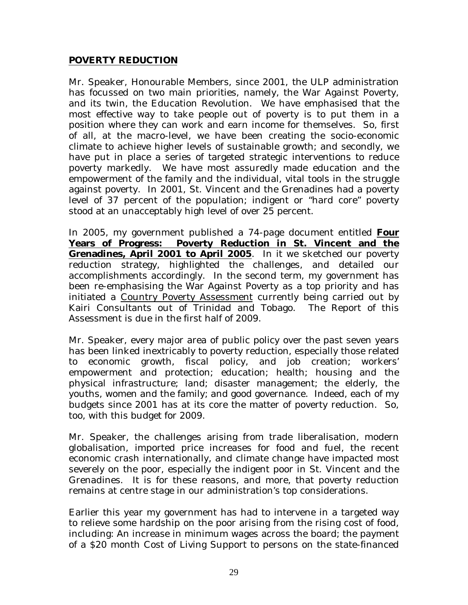#### **POVERTY REDUCTION**

Mr. Speaker, Honourable Members, since 2001, the ULP administration has focussed on two main priorities, namely, the War Against Poverty, and its twin, the Education Revolution. We have emphasised that the most effective way to take people out of poverty is to put them in a position where they can work and earn income for themselves. So, first of all, at the macro-level, we have been creating the socio-economic climate to achieve higher levels of sustainable growth; and secondly, we have put in place a series of targeted strategic interventions to reduce poverty markedly. We have most assuredly made education and the empowerment of the family and the individual, vital tools in the struggle against poverty. In 2001, St. Vincent and the Grenadines had a poverty level of 37 percent of the population; indigent or "hard core" poverty stood at an unacceptably high level of over 25 percent.

In 2005, my government published a 74-page document entitled **Four Years of Progress: Poverty Reduction in St. Vincent and the Grenadines, April 2001 to April 2005**. In it we sketched our poverty reduction strategy, highlighted the challenges, and detailed our accomplishments accordingly. In the second term, my government has been re-emphasising the War Against Poverty as a top priority and has initiated a Country Poverty Assessment currently being carried out by Kairi Consultants out of Trinidad and Tobago. The Report of this Assessment is due in the first half of 2009.

Mr. Speaker, every major area of public policy over the past seven years has been linked inextricably to poverty reduction, especially those related to economic growth, fiscal policy, and job creation; workers' empowerment and protection; education; health; housing and the physical infrastructure; land; disaster management; the elderly, the youths, women and the family; and good governance. Indeed, each of my budgets since 2001 has at its core the matter of poverty reduction. So, too, with this budget for 2009.

Mr. Speaker, the challenges arising from trade liberalisation, modern globalisation, imported price increases for food and fuel, the recent economic crash internationally, and climate change have impacted most severely on the poor, especially the indigent poor in St. Vincent and the Grenadines. It is for these reasons, and more, that poverty reduction remains at centre stage in our administration's top considerations.

Earlier this year my government has had to intervene in a targeted way to relieve some hardship on the poor arising from the rising cost of food, including: An increase in minimum wages across the board; the payment of a \$20 month Cost of Living Support to persons on the state-financed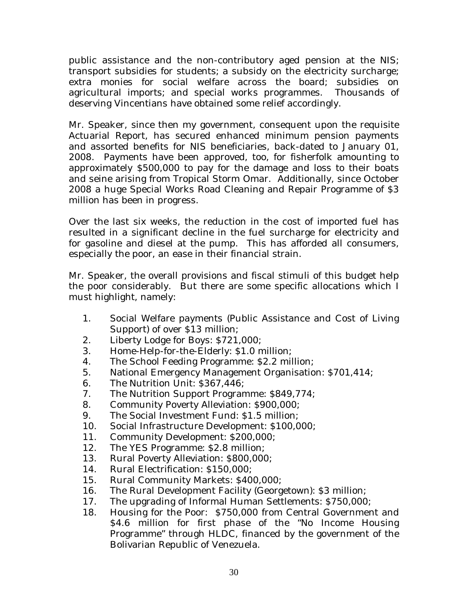public assistance and the non-contributory aged pension at the NIS; transport subsidies for students; a subsidy on the electricity surcharge; extra monies for social welfare across the board; subsidies on agricultural imports; and special works programmes. Thousands of deserving Vincentians have obtained some relief accordingly.

Mr. Speaker, since then my government, consequent upon the requisite Actuarial Report, has secured enhanced minimum pension payments and assorted benefits for NIS beneficiaries, back-dated to January 01, 2008. Payments have been approved, too, for fisherfolk amounting to approximately \$500,000 to pay for the damage and loss to their boats and seine arising from Tropical Storm Omar. Additionally, since October 2008 a huge Special Works Road Cleaning and Repair Programme of \$3 million has been in progress.

Over the last six weeks, the reduction in the cost of imported fuel has resulted in a significant decline in the fuel surcharge for electricity and for gasoline and diesel at the pump. This has afforded all consumers, especially the poor, an ease in their financial strain.

Mr. Speaker, the overall provisions and fiscal stimuli of this budget help the poor considerably. But there are some specific allocations which I must highlight, namely:

- 1. Social Welfare payments (Public Assistance and Cost of Living Support) of over \$13 million;
- 2. Liberty Lodge for Boys: \$721,000;
- 3. Home-Help-for-the-Elderly: \$1.0 million;
- 4. The School Feeding Programme: \$2.2 million;
- 5. National Emergency Management Organisation: \$701,414;
- 6. The Nutrition Unit: \$367,446;
- 7. The Nutrition Support Programme: \$849,774;
- 8. Community Poverty Alleviation: \$900,000;
- 9. The Social Investment Fund: \$1.5 million;
- 10. Social Infrastructure Development: \$100,000;
- 11. Community Development: \$200,000;
- 12. The YES Programme: \$2.8 million;
- 13. Rural Poverty Alleviation: \$800,000;
- 14. Rural Electrification: \$150,000;
- 15. Rural Community Markets: \$400,000;
- 16. The Rural Development Facility (Georgetown): \$3 million;
- 17. The upgrading of Informal Human Settlements: \$750,000;
- 18. Housing for the Poor: \$750,000 from Central Government and \$4.6 million for first phase of the "No Income Housing Programme" through HLDC, financed by the government of the Bolivarian Republic of Venezuela.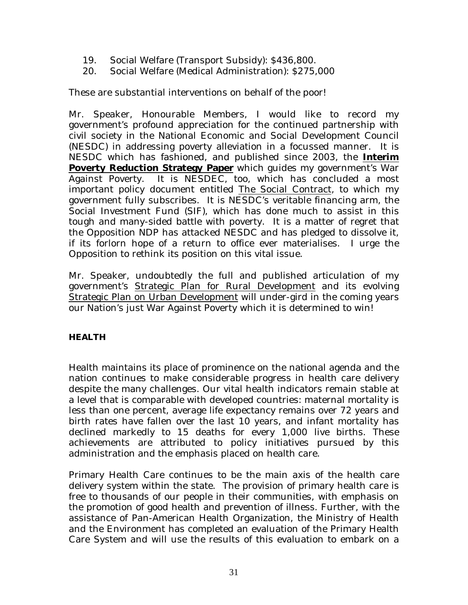- 19. Social Welfare (Transport Subsidy): \$436,800.
- 20. Social Welfare (Medical Administration): \$275,000

These are substantial interventions on behalf of the poor!

Mr. Speaker, Honourable Members, I would like to record my government's profound appreciation for the continued partnership with civil society in the National Economic and Social Development Council (NESDC) in addressing poverty alleviation in a focussed manner. It is NESDC which has fashioned, and published since 2003, the **Interim Poverty Reduction Strategy Paper** which guides my government's War Against Poverty. It is NESDEC, too, which has concluded a most important policy document entitled The Social Contract, to which my government fully subscribes. It is NESDC's veritable financing arm, the Social Investment Fund (SIF), which has done much to assist in this tough and many-sided battle with poverty. It is a matter of regret that the Opposition NDP has attacked NESDC and has pledged to dissolve it, if its forlorn hope of a return to office ever materialises. I urge the Opposition to rethink its position on this vital issue.

Mr. Speaker, undoubtedly the full and published articulation of my government's Strategic Plan for Rural Development and its evolving Strategic Plan on Urban Development will under-gird in the coming years our Nation's just War Against Poverty which it is determined to win!

#### **HEALTH**

Health maintains its place of prominence on the national agenda and the nation continues to make considerable progress in health care delivery despite the many challenges. Our vital health indicators remain stable at a level that is comparable with developed countries: maternal mortality is less than one percent, average life expectancy remains over 72 years and birth rates have fallen over the last 10 years, and infant mortality has declined markedly to 15 deaths for every 1,000 live births. These achievements are attributed to policy initiatives pursued by this administration and the emphasis placed on health care.

Primary Health Care continues to be the main axis of the health care delivery system within the state. The provision of primary health care is free to thousands of our people in their communities, with emphasis on the promotion of good health and prevention of illness. Further, with the assistance of Pan-American Health Organization, the Ministry of Health and the Environment has completed an evaluation of the Primary Health Care System and will use the results of this evaluation to embark on a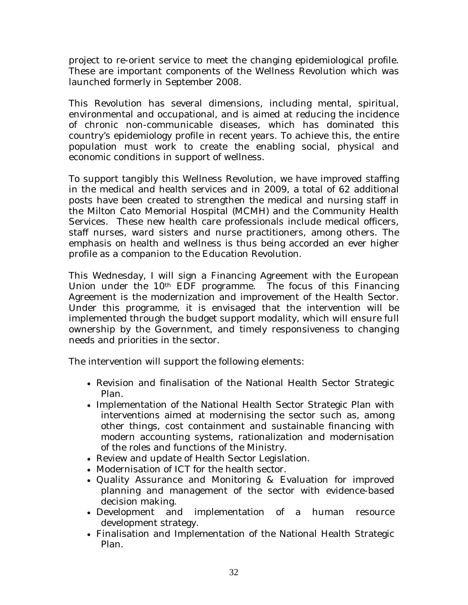project to re-orient service to meet the changing epidemiological profile. These are important components of the Wellness Revolution which was launched formerly in September 2008.

This Revolution has several dimensions, including mental, spiritual, environmental and occupational, and is aimed at reducing the incidence of chronic non-communicable diseases, which has dominated this country's epidemiology profile in recent years. To achieve this, the entire population must work to create the enabling social, physical and economic conditions in support of wellness.

To support tangibly this Wellness Revolution, we have improved staffing in the medical and health services and in 2009, a total of 62 additional posts have been created to strengthen the medical and nursing staff in the Milton Cato Memorial Hospital (MCMH) and the Community Health Services. These new health care professionals include medical officers, staff nurses, ward sisters and nurse practitioners, among others. The emphasis on health and wellness is thus being accorded an ever higher profile as a companion to the Education Revolution.

This Wednesday, I will sign a Financing Agreement with the European Union under the 10<sup>th</sup> EDF programme. The focus of this Financing Agreement is the modernization and improvement of the Health Sector. Under this programme, it is envisaged that the intervention will be implemented through the budget support modality, which will ensure full ownership by the Government, and timely responsiveness to changing needs and priorities in the sector.

The intervention will support the following elements:

- Revision and finalisation of the National Health Sector Strategic Plan.
- Implementation of the National Health Sector Strategic Plan with interventions aimed at modernising the sector such as, among other things, cost containment and sustainable financing with modern accounting systems, rationalization and modernisation of the roles and functions of the Ministry.
- Review and update of Health Sector Legislation.
- Modernisation of ICT for the health sector.
- Quality Assurance and Monitoring & Evaluation for improved planning and management of the sector with evidence-based decision making.
- Development and implementation of a human resource development strategy.
- Finalisation and Implementation of the National Health Strategic Plan.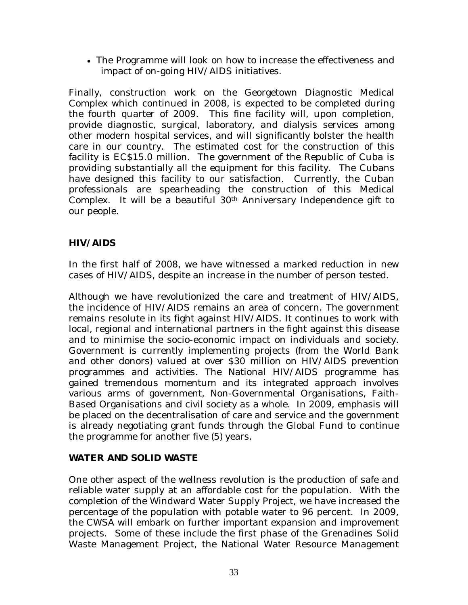• The Programme will look on how to increase the effectiveness and impact of on-going HIV/AIDS initiatives.

Finally, construction work on the Georgetown Diagnostic Medical Complex which continued in 2008, is expected to be completed during the fourth quarter of 2009. This fine facility will, upon completion, provide diagnostic, surgical, laboratory, and dialysis services among other modern hospital services, and will significantly bolster the health care in our country. The estimated cost for the construction of this facility is EC\$15.0 million. The government of the Republic of Cuba is providing substantially all the equipment for this facility. The Cubans have designed this facility to our satisfaction. Currently, the Cuban professionals are spearheading the construction of this Medical Complex. It will be a beautiful 30th Anniversary Independence gift to our people.

#### **HIV/AIDS**

In the first half of 2008, we have witnessed a marked reduction in new cases of HIV/AIDS, despite an increase in the number of person tested.

Although we have revolutionized the care and treatment of HIV/AIDS, the incidence of HIV/AIDS remains an area of concern. The government remains resolute in its fight against HIV/AIDS. It continues to work with local, regional and international partners in the fight against this disease and to minimise the socio-economic impact on individuals and society. Government is currently implementing projects (from the World Bank and other donors) valued at over \$30 million on HIV/AIDS prevention programmes and activities. The National HIV/AIDS programme has gained tremendous momentum and its integrated approach involves various arms of government, Non-Governmental Organisations, Faith-Based Organisations and civil society as a whole. In 2009, emphasis will be placed on the decentralisation of care and service and the government is already negotiating grant funds through the Global Fund to continue the programme for another five (5) years.

#### **WATER AND SOLID WASTE**

One other aspect of the wellness revolution is the production of safe and reliable water supply at an affordable cost for the population. With the completion of the Windward Water Supply Project, we have increased the percentage of the population with potable water to 96 percent. In 2009, the CWSA will embark on further important expansion and improvement projects. Some of these include the first phase of the Grenadines Solid Waste Management Project, the National Water Resource Management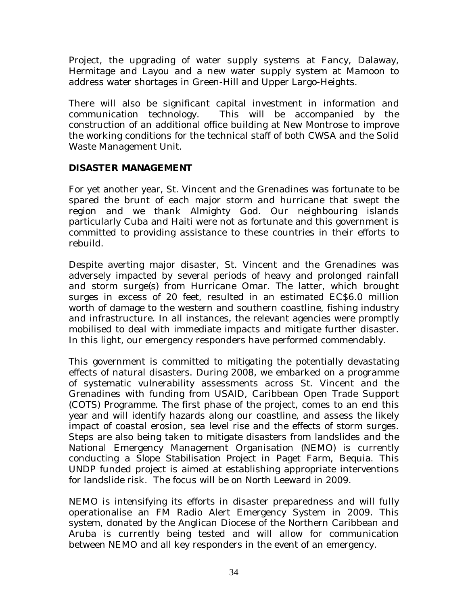Project, the upgrading of water supply systems at Fancy, Dalaway, Hermitage and Layou and a new water supply system at Mamoon to address water shortages in Green-Hill and Upper Largo-Heights.

There will also be significant capital investment in information and communication technology. This will be accompanied by the construction of an additional office building at New Montrose to improve the working conditions for the technical staff of both CWSA and the Solid Waste Management Unit.

#### **DISASTER MANAGEMENT**

For yet another year, St. Vincent and the Grenadines was fortunate to be spared the brunt of each major storm and hurricane that swept the region and we thank Almighty God. Our neighbouring islands particularly Cuba and Haiti were not as fortunate and this government is committed to providing assistance to these countries in their efforts to rebuild.

Despite averting major disaster, St. Vincent and the Grenadines was adversely impacted by several periods of heavy and prolonged rainfall and storm surge(s) from Hurricane Omar. The latter, which brought surges in excess of 20 feet, resulted in an estimated EC\$6.0 million worth of damage to the western and southern coastline, fishing industry and infrastructure. In all instances, the relevant agencies were promptly mobilised to deal with immediate impacts and mitigate further disaster. In this light, our emergency responders have performed commendably.

This government is committed to mitigating the potentially devastating effects of natural disasters. During 2008, we embarked on a programme of systematic vulnerability assessments across St. Vincent and the Grenadines with funding from USAID, Caribbean Open Trade Support (COTS) Programme. The first phase of the project, comes to an end this year and will identify hazards along our coastline, and assess the likely impact of coastal erosion, sea level rise and the effects of storm surges. Steps are also being taken to mitigate disasters from landslides and the National Emergency Management Organisation (NEMO) is currently conducting a *Slope Stabilisation Project* in Paget Farm, Bequia. This UNDP funded project is aimed at establishing appropriate interventions for landslide risk. The focus will be on North Leeward in 2009.

NEMO is intensifying its efforts in disaster preparedness and will fully operationalise an FM Radio Alert Emergency System in 2009. This system, donated by the Anglican Diocese of the Northern Caribbean and Aruba is currently being tested and will allow for communication between NEMO and all key responders in the event of an emergency.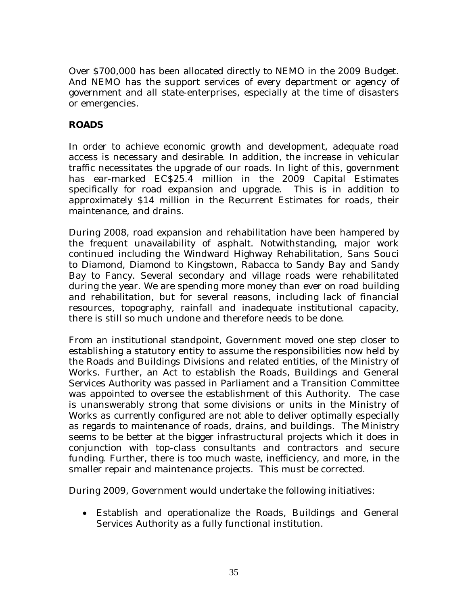Over \$700,000 has been allocated directly to NEMO in the 2009 Budget. And NEMO has the support services of every department or agency of government and all state-enterprises, especially at the time of disasters or emergencies.

#### **ROADS**

In order to achieve economic growth and development, adequate road access is necessary and desirable. In addition, the increase in vehicular traffic necessitates the upgrade of our roads. In light of this, government has ear-marked EC\$25.4 million in the 2009 Capital Estimates specifically for road expansion and upgrade. This is in addition to approximately \$14 million in the Recurrent Estimates for roads, their maintenance, and drains.

During 2008, road expansion and rehabilitation have been hampered by the frequent unavailability of asphalt. Notwithstanding, major work continued including the Windward Highway Rehabilitation, Sans Souci to Diamond, Diamond to Kingstown, Rabacca to Sandy Bay and Sandy Bay to Fancy. Several secondary and village roads were rehabilitated during the year. We are spending more money than ever on road building and rehabilitation, but for several reasons, including lack of financial resources, topography, rainfall and inadequate institutional capacity, there is still so much undone and therefore needs to be done.

From an institutional standpoint, Government moved one step closer to establishing a statutory entity to assume the responsibilities now held by the Roads and Buildings Divisions and related entities, of the Ministry of Works. Further, an Act to establish the Roads, Buildings and General Services Authority was passed in Parliament and a Transition Committee was appointed to oversee the establishment of this Authority. The case is unanswerably strong that some divisions or units in the Ministry of Works as currently configured are not able to deliver optimally especially as regards to maintenance of roads, drains, and buildings. The Ministry seems to be better at the bigger infrastructural projects which it does in conjunction with top-class consultants and contractors and secure funding. Further, there is too much waste, inefficiency, and more, in the smaller repair and maintenance projects. This must be corrected.

During 2009, Government would undertake the following initiatives:

• Establish and operationalize the Roads, Buildings and General Services Authority as a fully functional institution.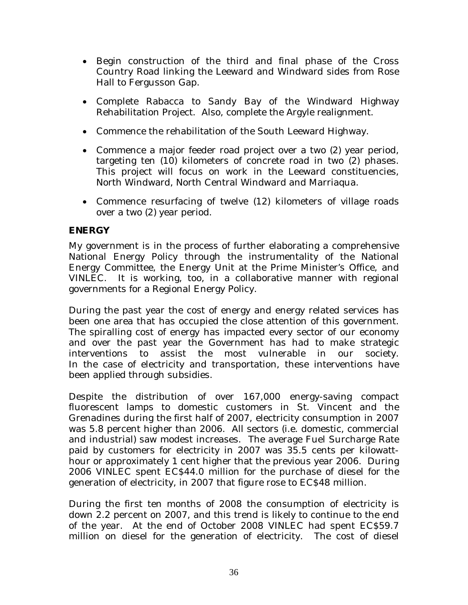- Begin construction of the third and final phase of the Cross Country Road linking the Leeward and Windward sides from Rose Hall to Fergusson Gap.
- Complete Rabacca to Sandy Bay of the Windward Highway Rehabilitation Project. Also, complete the Argyle realignment.
- Commence the rehabilitation of the South Leeward Highway.
- Commence a major feeder road project over a two (2) year period, targeting ten (10) kilometers of concrete road in two (2) phases. This project will focus on work in the Leeward constituencies, North Windward, North Central Windward and Marriaqua.
- Commence resurfacing of twelve (12) kilometers of village roads over a two (2) year period.

#### **ENERGY**

My government is in the process of further elaborating a comprehensive National Energy Policy through the instrumentality of the National Energy Committee, the Energy Unit at the Prime Minister's Office, and VINLEC. It is working, too, in a collaborative manner with regional governments for a Regional Energy Policy.

During the past year the cost of energy and energy related services has been one area that has occupied the close attention of this government. The spiralling cost of energy has impacted every sector of our economy and over the past year the Government has had to make strategic interventions to assist the most vulnerable in our society. In the case of electricity and transportation, these interventions have been applied through subsidies.

Despite the distribution of over 167,000 energy-saving compact fluorescent lamps to domestic customers in St. Vincent and the Grenadines during the first half of 2007, electricity consumption in 2007 was 5.8 percent higher than 2006. All sectors (i.e. domestic, commercial and industrial) saw modest increases. The average Fuel Surcharge Rate paid by customers for electricity in 2007 was 35.5 cents per kilowatthour or approximately 1 cent higher that the previous year 2006. During 2006 VINLEC spent EC\$44.0 million for the purchase of diesel for the generation of electricity, in 2007 that figure rose to EC\$48 million.

During the first ten months of 2008 the consumption of electricity is down 2.2 percent on 2007, and this trend is likely to continue to the end of the year. At the end of October 2008 VINLEC had spent EC\$59.7 million on diesel for the generation of electricity. The cost of diesel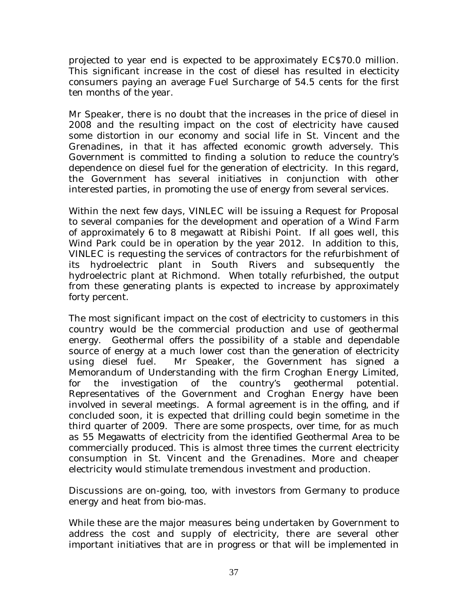projected to year end is expected to be approximately EC\$70.0 million. This significant increase in the cost of diesel has resulted in electicity consumers paying an average Fuel Surcharge of 54.5 cents for the first ten months of the year.

Mr Speaker, there is no doubt that the increases in the price of diesel in 2008 and the resulting impact on the cost of electricity have caused some distortion in our economy and social life in St. Vincent and the Grenadines, in that it has affected economic growth adversely. This Government is committed to finding a solution to reduce the country's dependence on diesel fuel for the generation of electricity. In this regard, the Government has several initiatives in conjunction with other interested parties, in promoting the use of energy from several services.

Within the next few days, VINLEC will be issuing a Request for Proposal to several companies for the development and operation of a Wind Farm of approximately 6 to 8 megawatt at Ribishi Point. If all goes well, this Wind Park could be in operation by the year 2012. In addition to this, VINLEC is requesting the services of contractors for the refurbishment of its hydroelectric plant in South Rivers and subsequently the hydroelectric plant at Richmond. When totally refurbished, the output from these generating plants is expected to increase by approximately forty percent.

The most significant impact on the cost of electricity to customers in this country would be the commercial production and use of geothermal energy. Geothermal offers the possibility of a stable and dependable source of energy at a much lower cost than the generation of electricity using diesel fuel. Mr Speaker, the Government has signed a Memorandum of Understanding with the firm Croghan Energy Limited, for the investigation of the country's geothermal potential. Representatives of the Government and Croghan Energy have been involved in several meetings. A formal agreement is in the offing, and if concluded soon, it is expected that drilling could begin sometime in the third quarter of 2009. There are some prospects, over time, for as much as 55 Megawatts of electricity from the identified Geothermal Area to be commercially produced. This is almost three times the current electricity consumption in St. Vincent and the Grenadines. More and cheaper electricity would stimulate tremendous investment and production.

Discussions are on-going, too, with investors from Germany to produce energy and heat from bio-mas.

While these are the major measures being undertaken by Government to address the cost and supply of electricity, there are several other important initiatives that are in progress or that will be implemented in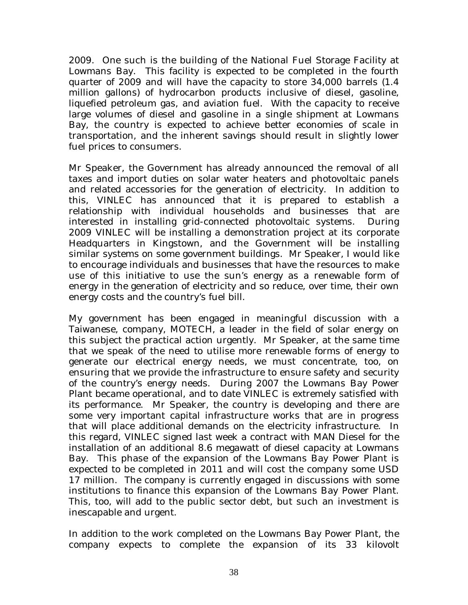2009. One such is the building of the National Fuel Storage Facility at Lowmans Bay. This facility is expected to be completed in the fourth quarter of 2009 and will have the capacity to store 34,000 barrels (1.4 million gallons) of hydrocarbon products inclusive of diesel, gasoline, liquefied petroleum gas, and aviation fuel. With the capacity to receive large volumes of diesel and gasoline in a single shipment at Lowmans Bay, the country is expected to achieve better economies of scale in transportation, and the inherent savings should result in slightly lower fuel prices to consumers.

Mr Speaker, the Government has already announced the removal of all taxes and import duties on solar water heaters and photovoltaic panels and related accessories for the generation of electricity. In addition to this, VINLEC has announced that it is prepared to establish a relationship with individual households and businesses that are interested in installing grid-connected photovoltaic systems. During 2009 VINLEC will be installing a demonstration project at its corporate Headquarters in Kingstown, and the Government will be installing similar systems on some government buildings. Mr Speaker, I would like to encourage individuals and businesses that have the resources to make use of this initiative to use the sun's energy as a renewable form of energy in the generation of electricity and so reduce, over time, their own energy costs and the country's fuel bill.

My government has been engaged in meaningful discussion with a Taiwanese, company, MOTECH, a leader in the field of solar energy on this subject the practical action urgently. Mr Speaker, at the same time that we speak of the need to utilise more renewable forms of energy to generate our electrical energy needs, we must concentrate, too, on ensuring that we provide the infrastructure to ensure safety and security of the country's energy needs. During 2007 the Lowmans Bay Power Plant became operational, and to date VINLEC is extremely satisfied with its performance. Mr Speaker, the country is developing and there are some very important capital infrastructure works that are in progress that will place additional demands on the electricity infrastructure. In this regard, VINLEC signed last week a contract with MAN Diesel for the installation of an additional 8.6 megawatt of diesel capacity at Lowmans Bay. This phase of the expansion of the Lowmans Bay Power Plant is expected to be completed in 2011 and will cost the company some USD 17 million. The company is currently engaged in discussions with some institutions to finance this expansion of the Lowmans Bay Power Plant. This, too, will add to the public sector debt, but such an investment is inescapable and urgent.

In addition to the work completed on the Lowmans Bay Power Plant, the company expects to complete the expansion of its 33 kilovolt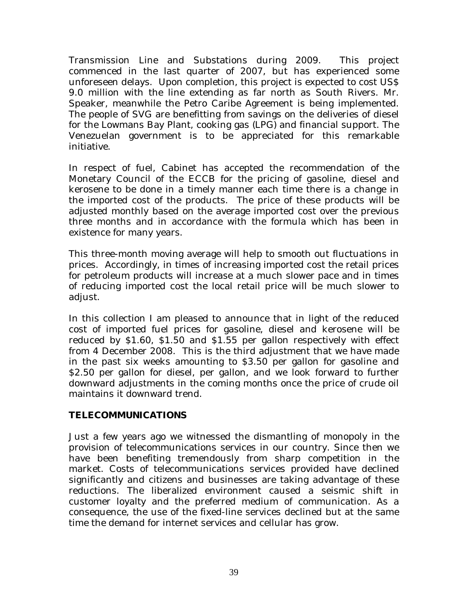Transmission Line and Substations during 2009. This project commenced in the last quarter of 2007, but has experienced some unforeseen delays. Upon completion, this project is expected to cost US\$ 9.0 million with the line extending as far north as South Rivers. Mr. Speaker, meanwhile the Petro Caribe Agreement is being implemented. The people of SVG are benefitting from savings on the deliveries of diesel for the Lowmans Bay Plant, cooking gas (LPG) and financial support. The Venezuelan government is to be appreciated for this remarkable initiative.

In respect of fuel, Cabinet has accepted the recommendation of the Monetary Council of the ECCB for the pricing of gasoline, diesel and kerosene to be done in a timely manner each time there is a change in the imported cost of the products. The price of these products will be adjusted monthly based on the average imported cost over the previous three months and in accordance with the formula which has been in existence for many years.

This three-month moving average will help to smooth out fluctuations in prices. Accordingly, in times of increasing imported cost the retail prices for petroleum products will increase at a much slower pace and in times of reducing imported cost the local retail price will be much slower to adjust.

In this collection I am pleased to announce that in light of the reduced cost of imported fuel prices for gasoline, diesel and kerosene will be reduced by \$1.60, \$1.50 and \$1.55 per gallon respectively with effect from 4 December 2008. This is the third adjustment that we have made in the past six weeks amounting to \$3.50 per gallon for gasoline and \$2.50 per gallon for diesel, per gallon, and we look forward to further downward adjustments in the coming months once the price of crude oil maintains it downward trend.

#### **TELECOMMUNICATIONS**

Just a few years ago we witnessed the dismantling of monopoly in the provision of telecommunications services in our country. Since then we have been benefiting tremendously from sharp competition in the market. Costs of telecommunications services provided have declined significantly and citizens and businesses are taking advantage of these reductions. The liberalized environment caused a seismic shift in customer loyalty and the preferred medium of communication. As a consequence, the use of the fixed-line services declined but at the same time the demand for internet services and cellular has grow.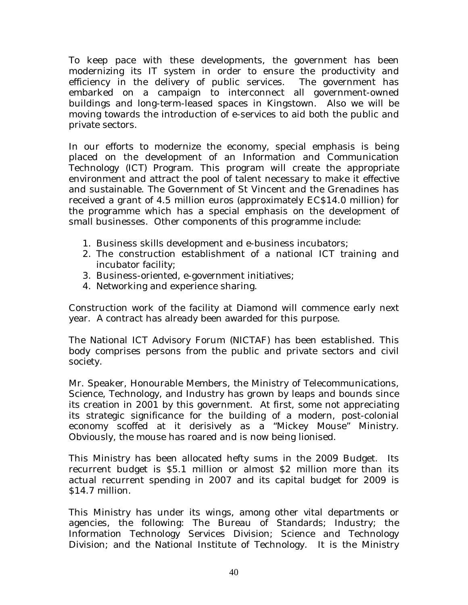To keep pace with these developments, the government has been modernizing its IT system in order to ensure the productivity and efficiency in the delivery of public services. The government has embarked on a campaign to interconnect all government-owned buildings and long-term-leased spaces in Kingstown. Also we will be moving towards the introduction of e-services to aid both the public and private sectors.

In our efforts to modernize the economy, special emphasis is being placed on the development of an Information and Communication Technology (ICT) Program. This program will create the appropriate environment and attract the pool of talent necessary to make it effective and sustainable. The Government of St Vincent and the Grenadines has received a grant of 4.5 million euros (approximately EC\$14.0 million) for the programme which has a special emphasis on the development of small businesses. Other components of this programme include:

- 1. Business skills development and e-business incubators;
- 2. The construction establishment of a national ICT training and incubator facility;
- 3. Business-oriented, e-government initiatives;
- 4. Networking and experience sharing.

Construction work of the facility at Diamond will commence early next year. A contract has already been awarded for this purpose.

The National ICT Advisory Forum (NICTAF) has been established. This body comprises persons from the public and private sectors and civil society.

Mr. Speaker, Honourable Members, the Ministry of Telecommunications, Science, Technology, and Industry has grown by leaps and bounds since its creation in 2001 by this government. At first, some not appreciating its strategic significance for the building of a modern, post-colonial economy scoffed at it derisively as a "Mickey Mouse" Ministry. Obviously, the mouse has roared and is now being lionised.

This Ministry has been allocated hefty sums in the 2009 Budget. Its recurrent budget is \$5.1 million or almost \$2 million more than its actual recurrent spending in 2007 and its capital budget for 2009 is \$14.7 million.

This Ministry has under its wings, among other vital departments or agencies, the following: The Bureau of Standards; Industry; the Information Technology Services Division; Science and Technology Division; and the National Institute of Technology. It is the Ministry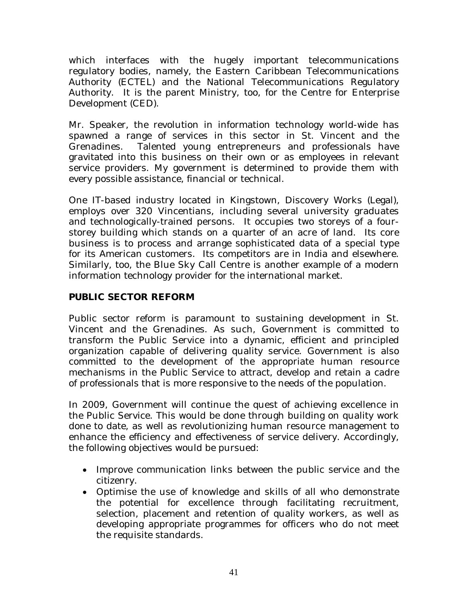which interfaces with the hugely important telecommunications regulatory bodies, namely, the Eastern Caribbean Telecommunications Authority (ECTEL) and the National Telecommunications Regulatory Authority. It is the parent Ministry, too, for the Centre for Enterprise Development (CED).

Mr. Speaker, the revolution in information technology world-wide has spawned a range of services in this sector in St. Vincent and the Grenadines. Talented young entrepreneurs and professionals have gravitated into this business on their own or as employees in relevant service providers. My government is determined to provide them with every possible assistance, financial or technical.

One IT-based industry located in Kingstown, Discovery Works (Legal), employs over 320 Vincentians, including several university graduates and technologically-trained persons. It occupies two storeys of a fourstorey building which stands on a quarter of an acre of land. Its core business is to process and arrange sophisticated data of a special type for its American customers. Its competitors are in India and elsewhere. Similarly, too, the Blue Sky Call Centre is another example of a modern information technology provider for the international market.

#### **PUBLIC SECTOR REFORM**

Public sector reform is paramount to sustaining development in St. Vincent and the Grenadines. As such, Government is committed to transform the Public Service into a dynamic, efficient and principled organization capable of delivering quality service. Government is also committed to the development of the appropriate human resource mechanisms in the Public Service to attract, develop and retain a cadre of professionals that is more responsive to the needs of the population.

In 2009, Government will continue the quest of achieving excellence in the Public Service. This would be done through building on quality work done to date, as well as revolutionizing human resource management to enhance the efficiency and effectiveness of service delivery. Accordingly, the following objectives would be pursued:

- Improve communication links between the public service and the citizenry.
- Optimise the use of knowledge and skills of all who demonstrate the potential for excellence through facilitating recruitment, selection, placement and retention of quality workers, as well as developing appropriate programmes for officers who do not meet the requisite standards.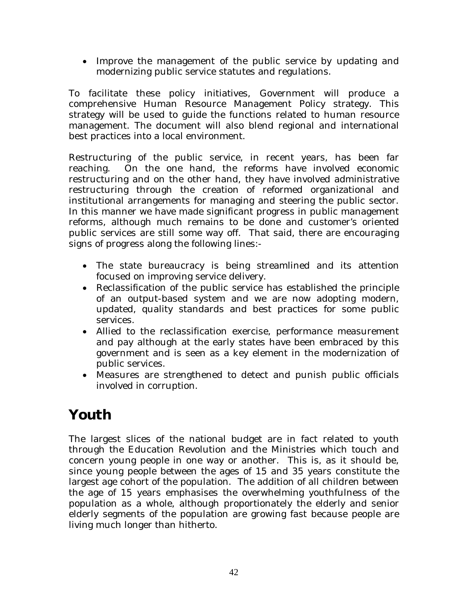• Improve the management of the public service by updating and modernizing public service statutes and regulations.

To facilitate these policy initiatives, Government will produce a comprehensive Human Resource Management Policy strategy. This strategy will be used to guide the functions related to human resource management. The document will also blend regional and international best practices into a local environment.

Restructuring of the public service, in recent years, has been far reaching. On the one hand, the reforms have involved economic restructuring and on the other hand, they have involved administrative restructuring through the creation of reformed organizational and institutional arrangements for managing and steering the public sector. In this manner we have made significant progress in public management reforms, although much remains to be done and customer's oriented public services are still some way off. That said, there are encouraging signs of progress along the following lines:-

- The state bureaucracy is being streamlined and its attention focused on improving service delivery.
- Reclassification of the public service has established the principle of an output-based system and we are now adopting modern, updated, quality standards and best practices for some public services.
- Allied to the reclassification exercise, performance measurement and pay although at the early states have been embraced by this government and is seen as a key element in the modernization of public services.
- Measures are strengthened to detect and punish public officials involved in corruption.

## **Youth**

The largest slices of the national budget are in fact related to youth through the Education Revolution and the Ministries which touch and concern young people in one way or another. This is, as it should be, since young people between the ages of 15 and 35 years constitute the largest age cohort of the population. The addition of all children between the age of 15 years emphasises the overwhelming youthfulness of the population as a whole, although proportionately the elderly and senior elderly segments of the population are growing fast because people are living much longer than hitherto.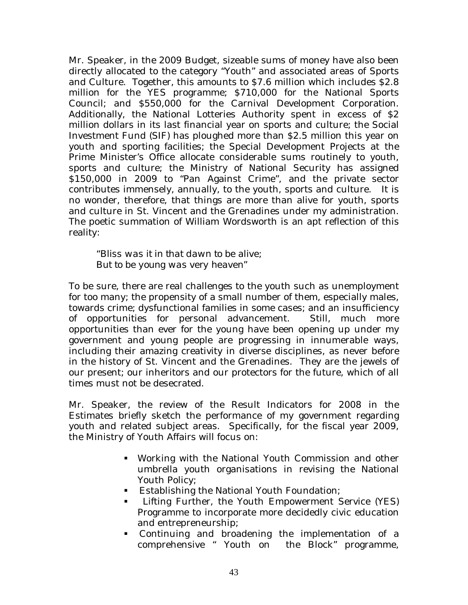Mr. Speaker, in the 2009 Budget, sizeable sums of money have also been directly allocated to the category "Youth" and associated areas of Sports and Culture. Together, this amounts to \$7.6 million which includes \$2.8 million for the YES programme; \$710,000 for the National Sports Council; and \$550,000 for the Carnival Development Corporation. Additionally, the National Lotteries Authority spent in excess of \$2 million dollars in its last financial year on sports and culture; the Social Investment Fund (SIF) has ploughed more than \$2.5 million this year on youth and sporting facilities; the Special Development Projects at the Prime Minister's Office allocate considerable sums routinely to youth, sports and culture; the Ministry of National Security has assigned \$150,000 in 2009 to "Pan Against Crime", and the private sector contributes immensely, annually, to the youth, sports and culture. It is no wonder, therefore, that things are more than alive for youth, sports and culture in St. Vincent and the Grenadines under my administration. The poetic summation of William Wordsworth is an apt reflection of this reality:

*"Bliss was it in that dawn to be alive; But to be young was very heaven"* 

To be sure, there are real challenges to the youth such as unemployment for too many; the propensity of a small number of them, especially males, towards crime; dysfunctional families in some cases; and an insufficiency of opportunities for personal advancement. Still, much more opportunities than ever for the young have been opening up under my government and young people are progressing in innumerable ways, including their amazing creativity in diverse disciplines, as never before in the history of St. Vincent and the Grenadines. They are the jewels of our present; our inheritors and our protectors for the future, which of all times must not be desecrated.

Mr. Speaker, the review of the Result Indicators for 2008 in the Estimates briefly sketch the performance of my government regarding youth and related subject areas. Specifically, for the fiscal year 2009, the Ministry of Youth Affairs will focus on:

- Working with the National Youth Commission and other umbrella youth organisations in revising the National Youth Policy;
- **Establishing the National Youth Foundation;**
- **EXECUTE:** Lifting Further, the Youth Empowerment Service (YES) Programme to incorporate more decidedly civic education and entrepreneurship;
- Continuing and broadening the implementation of a comprehensive " Youth on the Block" programme,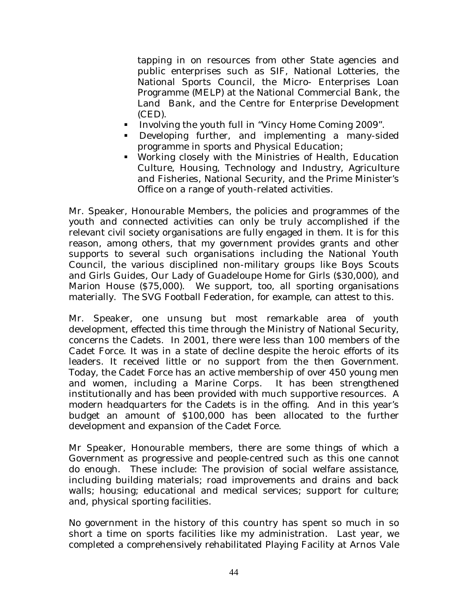tapping in on resources from other State agencies and public enterprises such as SIF, National Lotteries, the National Sports Council, the Micro- Enterprises Loan Programme (MELP) at the National Commercial Bank, the Land Bank, and the Centre for Enterprise Development (CED).

- Involving the youth full in "Vincy Home Coming 2009".
- Developing further, and implementing a many-sided programme in sports and Physical Education;
- Working closely with the Ministries of Health, Education Culture, Housing, Technology and Industry, Agriculture and Fisheries, National Security, and the Prime Minister's Office on a range of youth-related activities.

Mr. Speaker, Honourable Members, the policies and programmes of the youth and connected activities can only be truly accomplished if the relevant civil society organisations are fully engaged in them. It is for this reason, among others, that my government provides grants and other supports to several such organisations including the National Youth Council, the various disciplined non-military groups like Boys Scouts and Girls Guides, Our Lady of Guadeloupe Home for Girls (\$30,000), and Marion House (\$75,000). We support, too, all sporting organisations materially. The SVG Football Federation, for example, can attest to this.

Mr. Speaker, one unsung but most remarkable area of youth development, effected this time through the Ministry of National Security, concerns the Cadets. In 2001, there were less than 100 members of the Cadet Force. It was in a state of decline despite the heroic efforts of its leaders. It received little or no support from the then Government. Today, the Cadet Force has an active membership of over 450 young men and women, including a Marine Corps. It has been strengthened institutionally and has been provided with much supportive resources. A modern headquarters for the Cadets is in the offing. And in this year's budget an amount of \$100,000 has been allocated to the further development and expansion of the Cadet Force.

Mr Speaker, Honourable members, there are some things of which a Government as progressive and people-centred such as this one cannot do enough. These include: The provision of social welfare assistance, including building materials; road improvements and drains and back walls; housing; educational and medical services; support for culture; and, physical sporting facilities.

No government in the history of this country has spent so much in so short a time on sports facilities like my administration. Last year, we completed a comprehensively rehabilitated Playing Facility at Arnos Vale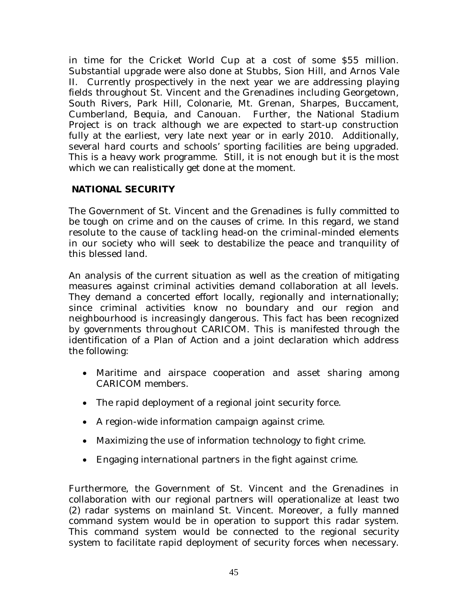in time for the Cricket World Cup at a cost of some \$55 million. Substantial upgrade were also done at Stubbs, Sion Hill, and Arnos Vale II. Currently prospectively in the next year we are addressing playing fields throughout St. Vincent and the Grenadines including Georgetown, South Rivers, Park Hill, Colonarie, Mt. Grenan, Sharpes, Buccament, Cumberland, Bequia, and Canouan. Further, the National Stadium Project is on track although we are expected to start-up construction fully at the earliest, very late next year or in early 2010. Additionally, several hard courts and schools' sporting facilities are being upgraded. This is a heavy work programme. Still, it is not enough but it is the most which we can realistically get done at the moment.

#### **NATIONAL SECURITY**

The Government of St. Vincent and the Grenadines is fully committed to be tough on crime and on the causes of crime. In this regard, we stand resolute to the cause of tackling head-on the criminal-minded elements in our society who will seek to destabilize the peace and tranquility of this blessed land.

An analysis of the current situation as well as the creation of mitigating measures against criminal activities demand collaboration at all levels. They demand a concerted effort locally, regionally and internationally; since criminal activities know no boundary and our region and neighbourhood is increasingly dangerous. This fact has been recognized by governments throughout CARICOM. This is manifested through the identification of a Plan of Action and a joint declaration which address the following:

- Maritime and airspace cooperation and asset sharing among CARICOM members.
- The rapid deployment of a regional joint security force.
- A region-wide information campaign against crime.
- Maximizing the use of information technology to fight crime.
- Engaging international partners in the fight against crime.

Furthermore, the Government of St. Vincent and the Grenadines in collaboration with our regional partners will operationalize at least two (2) radar systems on mainland St. Vincent. Moreover, a fully manned command system would be in operation to support this radar system. This command system would be connected to the regional security system to facilitate rapid deployment of security forces when necessary.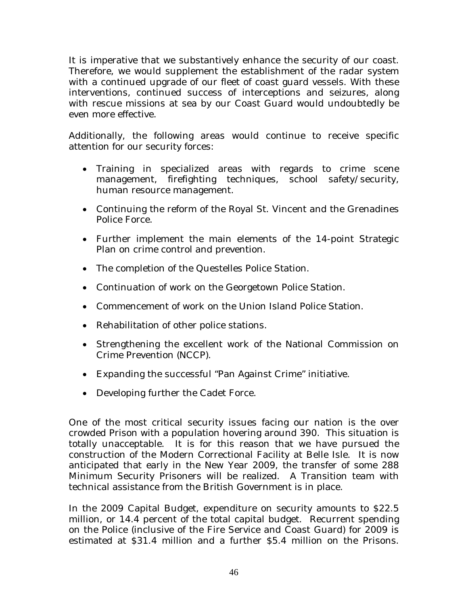It is imperative that we substantively enhance the security of our coast. Therefore, we would supplement the establishment of the radar system with a continued upgrade of our fleet of coast guard vessels. With these interventions, continued success of interceptions and seizures, along with rescue missions at sea by our Coast Guard would undoubtedly be even more effective.

Additionally, the following areas would continue to receive specific attention for our security forces:

- Training in specialized areas with regards to crime scene management, firefighting techniques, school safety/security, human resource management.
- Continuing the reform of the Royal St. Vincent and the Grenadines Police Force.
- Further implement the main elements of the 14-point Strategic Plan on crime control and prevention.
- The completion of the Questelles Police Station.
- Continuation of work on the Georgetown Police Station.
- Commencement of work on the Union Island Police Station.
- Rehabilitation of other police stations.
- Strengthening the excellent work of the National Commission on Crime Prevention (NCCP).
- Expanding the successful "Pan Against Crime" initiative.
- Developing further the Cadet Force.

One of the most critical security issues facing our nation is the over crowded Prison with a population hovering around 390. This situation is totally unacceptable. It is for this reason that we have pursued the construction of the Modern Correctional Facility at Belle Isle. It is now anticipated that early in the New Year 2009, the transfer of some 288 Minimum Security Prisoners will be realized. A Transition team with technical assistance from the British Government is in place.

In the 2009 Capital Budget, expenditure on security amounts to \$22.5 million, or 14.4 percent of the total capital budget. Recurrent spending on the Police (inclusive of the Fire Service and Coast Guard) for 2009 is estimated at \$31.4 million and a further \$5.4 million on the Prisons.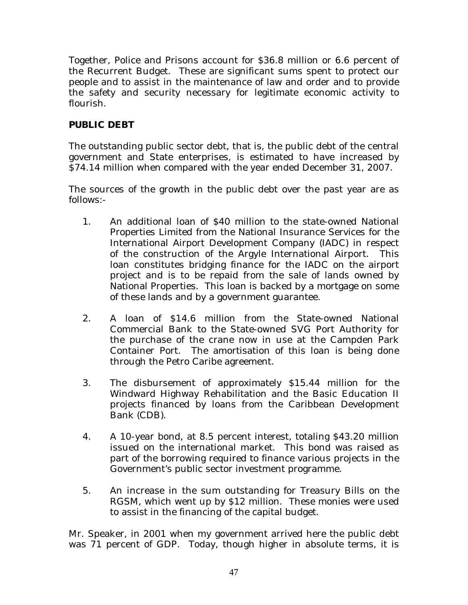Together, Police and Prisons account for \$36.8 million or 6.6 percent of the Recurrent Budget. These are significant sums spent to protect our people and to assist in the maintenance of law and order and to provide the safety and security necessary for legitimate economic activity to flourish.

#### **PUBLIC DEBT**

The outstanding public sector debt, that is, the public debt of the central government and State enterprises, is estimated to have increased by \$74.14 million when compared with the year ended December 31, 2007.

The sources of the growth in the public debt over the past year are as follows:-

- 1. An additional loan of \$40 million to the state-owned National Properties Limited from the National Insurance Services for the International Airport Development Company (IADC) in respect of the construction of the Argyle International Airport. This loan constitutes bridging finance for the IADC on the airport project and is to be repaid from the sale of lands owned by National Properties. This loan is backed by a mortgage on some of these lands and by a government guarantee.
- 2. A loan of \$14.6 million from the State-owned National Commercial Bank to the State-owned SVG Port Authority for the purchase of the crane now in use at the Campden Park Container Port. The amortisation of this loan is being done through the Petro Caribe agreement.
- 3. The disbursement of approximately \$15.44 million for the Windward Highway Rehabilitation and the Basic Education II projects financed by loans from the Caribbean Development Bank (CDB).
- 4. A 10-year bond, at 8.5 percent interest, totaling \$43.20 million issued on the international market. This bond was raised as part of the borrowing required to finance various projects in the Government's public sector investment programme.
- 5. An increase in the sum outstanding for Treasury Bills on the RGSM, which went up by \$12 million. These monies were used to assist in the financing of the capital budget.

Mr. Speaker, in 2001 when my government arrived here the public debt was 71 percent of GDP. Today, though higher in absolute terms, it is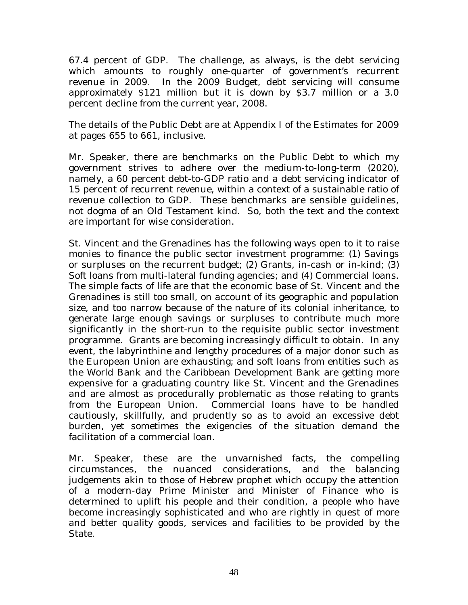67.4 percent of GDP. The challenge, as always, is the debt servicing which amounts to roughly one-quarter of government's recurrent revenue in 2009. In the 2009 Budget, debt servicing will consume approximately \$121 million but it is down by \$3.7 million or a 3.0 percent decline from the current year, 2008.

The details of the Public Debt are at Appendix I of the Estimates for 2009 at pages 655 to 661, inclusive.

Mr. Speaker, there are benchmarks on the Public Debt to which my government strives to adhere over the medium-to-long-term (2020), namely, a 60 percent debt-to-GDP ratio and a debt servicing indicator of 15 percent of recurrent revenue, within a context of a sustainable ratio of revenue collection to GDP. These benchmarks are sensible guidelines, not dogma of an Old Testament kind. So, both the text and the context are important for wise consideration.

St. Vincent and the Grenadines has the following ways open to it to raise monies to finance the public sector investment programme: (1) Savings or surpluses on the recurrent budget; (2) Grants, in-cash or in-kind; (3) Soft loans from multi-lateral funding agencies; and (4) Commercial loans. The simple facts of life are that the economic base of St. Vincent and the Grenadines is still too small, on account of its geographic and population size, and too narrow because of the nature of its colonial inheritance, to generate large enough savings or surpluses to contribute much more significantly in the short-run to the requisite public sector investment programme. Grants are becoming increasingly difficult to obtain. In any event, the labyrinthine and lengthy procedures of a major donor such as the European Union are exhausting; and soft loans from entities such as the World Bank and the Caribbean Development Bank are getting more expensive for a graduating country like St. Vincent and the Grenadines and are almost as procedurally problematic as those relating to grants from the European Union. Commercial loans have to be handled cautiously, skillfully, and prudently so as to avoid an excessive debt burden, yet sometimes the exigencies of the situation demand the facilitation of a commercial loan.

Mr. Speaker, these are the unvarnished facts, the compelling circumstances, the nuanced considerations, and the balancing judgements akin to those of Hebrew prophet which occupy the attention of a modern-day Prime Minister and Minister of Finance who is determined to uplift his people and their condition, a people who have become increasingly sophisticated and who are rightly in quest of more and better quality goods, services and facilities to be provided by the State.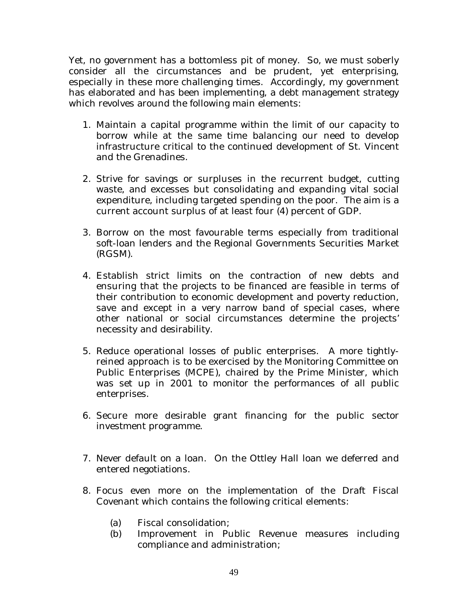Yet, no government has a bottomless pit of money. So, we must soberly consider all the circumstances and be prudent, yet enterprising, especially in these more challenging times. Accordingly, my government has elaborated and has been implementing, a debt management strategy which revolves around the following main elements:

- 1. Maintain a capital programme within the limit of our capacity to borrow while at the same time balancing our need to develop infrastructure critical to the continued development of St. Vincent and the Grenadines.
- 2. Strive for savings or surpluses in the recurrent budget, cutting waste, and excesses but consolidating and expanding vital social expenditure, including targeted spending on the poor. The aim is a current account surplus of at least four (4) percent of GDP.
- 3. Borrow on the most favourable terms especially from traditional soft-loan lenders and the Regional Governments Securities Market (RGSM).
- 4. Establish strict limits on the contraction of new debts and ensuring that the projects to be financed are feasible in terms of their contribution to economic development and poverty reduction, save and except in a very narrow band of special cases, where other national or social circumstances determine the projects' necessity and desirability.
- 5. Reduce operational losses of public enterprises. A more tightlyreined approach is to be exercised by the Monitoring Committee on Public Enterprises (MCPE), chaired by the Prime Minister, which was set up in 2001 to monitor the performances of all public enterprises.
- 6. Secure more desirable grant financing for the public sector investment programme.
- 7. Never default on a loan. On the Ottley Hall loan we deferred and entered negotiations.
- 8. Focus even more on the implementation of the Draft Fiscal Covenant which contains the following critical elements:
	- (a) Fiscal consolidation;
	- (b) Improvement in Public Revenue measures including compliance and administration;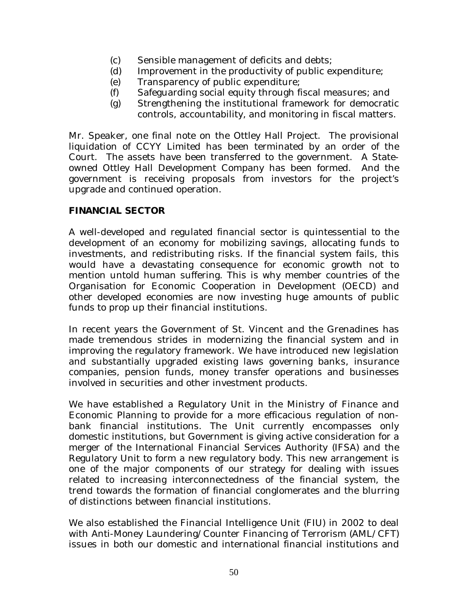- (c) Sensible management of deficits and debts;
- (d) Improvement in the productivity of public expenditure;
- (e) Transparency of public expenditure;
- (f) Safeguarding social equity through fiscal measures; and
- (g) Strengthening the institutional framework for democratic controls, accountability, and monitoring in fiscal matters.

Mr. Speaker, one final note on the Ottley Hall Project. The provisional liquidation of CCYY Limited has been terminated by an order of the Court. The assets have been transferred to the government. A Stateowned Ottley Hall Development Company has been formed. And the government is receiving proposals from investors for the project's upgrade and continued operation.

#### **FINANCIAL SECTOR**

A well-developed and regulated financial sector is quintessential to the development of an economy for mobilizing savings, allocating funds to investments, and redistributing risks. If the financial system fails, this would have a devastating consequence for economic growth not to mention untold human suffering. This is why member countries of the Organisation for Economic Cooperation in Development (OECD) and other developed economies are now investing huge amounts of public funds to prop up their financial institutions.

In recent years the Government of St. Vincent and the Grenadines has made tremendous strides in modernizing the financial system and in improving the regulatory framework. We have introduced new legislation and substantially upgraded existing laws governing banks, insurance companies, pension funds, money transfer operations and businesses involved in securities and other investment products.

We have established a Regulatory Unit in the Ministry of Finance and Economic Planning to provide for a more efficacious regulation of nonbank financial institutions. The Unit currently encompasses only domestic institutions, but Government is giving active consideration for a merger of the International Financial Services Authority (IFSA) and the Regulatory Unit to form a new regulatory body. This new arrangement is one of the major components of our strategy for dealing with issues related to increasing interconnectedness of the financial system, the trend towards the formation of financial conglomerates and the blurring of distinctions between financial institutions.

We also established the Financial Intelligence Unit (FIU) in 2002 to deal with Anti-Money Laundering/Counter Financing of Terrorism (AML/CFT) issues in both our domestic and international financial institutions and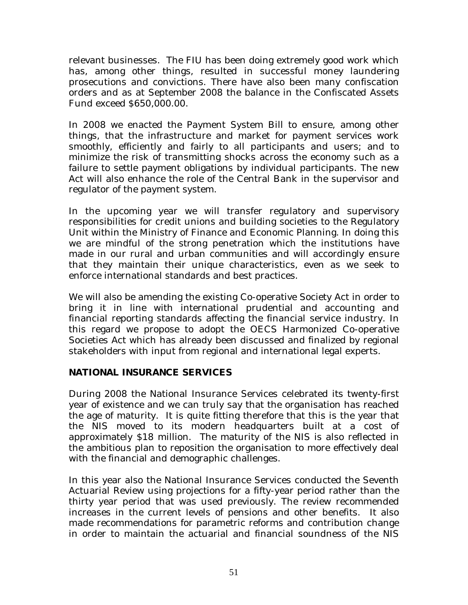relevant businesses. The FIU has been doing extremely good work which has, among other things, resulted in successful money laundering prosecutions and convictions. There have also been many confiscation orders and as at September 2008 the balance in the Confiscated Assets Fund exceed \$650,000.00.

In 2008 we enacted the Payment System Bill to ensure, among other things, that the infrastructure and market for payment services work smoothly, efficiently and fairly to all participants and users; and to minimize the risk of transmitting shocks across the economy such as a failure to settle payment obligations by individual participants. The new Act will also enhance the role of the Central Bank in the supervisor and regulator of the payment system.

In the upcoming year we will transfer regulatory and supervisory responsibilities for credit unions and building societies to the Regulatory Unit within the Ministry of Finance and Economic Planning. In doing this we are mindful of the strong penetration which the institutions have made in our rural and urban communities and will accordingly ensure that they maintain their unique characteristics, even as we seek to enforce international standards and best practices.

We will also be amending the existing Co-operative Society Act in order to bring it in line with international prudential and accounting and financial reporting standards affecting the financial service industry. In this regard we propose to adopt the OECS Harmonized Co-operative Societies Act which has already been discussed and finalized by regional stakeholders with input from regional and international legal experts.

#### **NATIONAL INSURANCE SERVICES**

During 2008 the National Insurance Services celebrated its twenty-first year of existence and we can truly say that the organisation has reached the age of maturity. It is quite fitting therefore that this is the year that the NIS moved to its modern headquarters built at a cost of approximately \$18 million. The maturity of the NIS is also reflected in the ambitious plan to reposition the organisation to more effectively deal with the financial and demographic challenges.

In this year also the National Insurance Services conducted the Seventh Actuarial Review using projections for a fifty-year period rather than the thirty year period that was used previously. The review recommended increases in the current levels of pensions and other benefits. It also made recommendations for parametric reforms and contribution change in order to maintain the actuarial and financial soundness of the NIS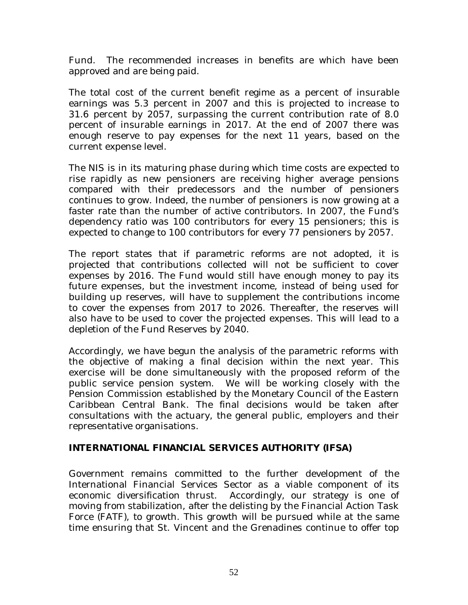Fund. The recommended increases in benefits are which have been approved and are being paid.

The total cost of the current benefit regime as a percent of insurable earnings was 5.3 percent in 2007 and this is projected to increase to 31.6 percent by 2057, surpassing the current contribution rate of 8.0 percent of insurable earnings in 2017. At the end of 2007 there was enough reserve to pay expenses for the next 11 years, based on the current expense level.

The NIS is in its maturing phase during which time costs are expected to rise rapidly as new pensioners are receiving higher average pensions compared with their predecessors and the number of pensioners continues to grow. Indeed, the number of pensioners is now growing at a faster rate than the number of active contributors. In 2007, the Fund's dependency ratio was 100 contributors for every 15 pensioners; this is expected to change to 100 contributors for every 77 pensioners by 2057.

The report states that if parametric reforms are not adopted, it is projected that contributions collected will not be sufficient to cover expenses by 2016. The Fund would still have enough money to pay its future expenses, but the investment income, instead of being used for building up reserves, will have to supplement the contributions income to cover the expenses from 2017 to 2026. Thereafter, the reserves will also have to be used to cover the projected expenses. This will lead to a depletion of the Fund Reserves by 2040.

Accordingly, we have begun the analysis of the parametric reforms with the objective of making a final decision within the next year. This exercise will be done simultaneously with the proposed reform of the public service pension system. We will be working closely with the Pension Commission established by the Monetary Council of the Eastern Caribbean Central Bank. The final decisions would be taken after consultations with the actuary, the general public, employers and their representative organisations.

#### **INTERNATIONAL FINANCIAL SERVICES AUTHORITY (IFSA)**

Government remains committed to the further development of the International Financial Services Sector as a viable component of its economic diversification thrust. Accordingly, our strategy is one of moving from stabilization, after the delisting by the Financial Action Task Force (FATF), to growth. This growth will be pursued while at the same time ensuring that St. Vincent and the Grenadines continue to offer top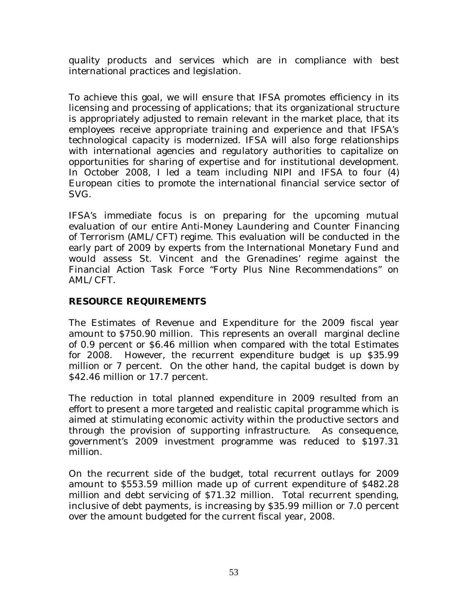quality products and services which are in compliance with best international practices and legislation.

To achieve this goal, we will ensure that IFSA promotes efficiency in its licensing and processing of applications; that its organizational structure is appropriately adjusted to remain relevant in the market place, that its employees receive appropriate training and experience and that IFSA's technological capacity is modernized. IFSA will also forge relationships with international agencies and regulatory authorities to capitalize on opportunities for sharing of expertise and for institutional development. In October 2008, I led a team including NIPI and IFSA to four (4) European cities to promote the international financial service sector of SVG.

IFSA's immediate focus is on preparing for the upcoming mutual evaluation of our entire Anti-Money Laundering and Counter Financing of Terrorism (AML/CFT) regime. This evaluation will be conducted in the early part of 2009 by experts from the International Monetary Fund and would assess St. Vincent and the Grenadines' regime against the Financial Action Task Force "Forty Plus Nine Recommendations" on AML/CFT.

#### **RESOURCE REQUIREMENTS**

The Estimates of Revenue and Expenditure for the 2009 fiscal year amount to \$750.90 million. This represents an overall marginal decline of 0.9 percent or \$6.46 million when compared with the total Estimates for 2008. However, the recurrent expenditure budget is up \$35.99 million or 7 percent. On the other hand, the capital budget is down by \$42.46 million or 17.7 percent.

The reduction in total planned expenditure in 2009 resulted from an effort to present a more targeted and realistic capital programme which is aimed at stimulating economic activity within the productive sectors and through the provision of supporting infrastructure. As consequence, government's 2009 investment programme was reduced to \$197.31 million.

On the recurrent side of the budget, total recurrent outlays for 2009 amount to \$553.59 million made up of current expenditure of \$482.28 million and debt servicing of \$71.32 million. Total recurrent spending, inclusive of debt payments, is increasing by \$35.99 million or 7.0 percent over the amount budgeted for the current fiscal year, 2008.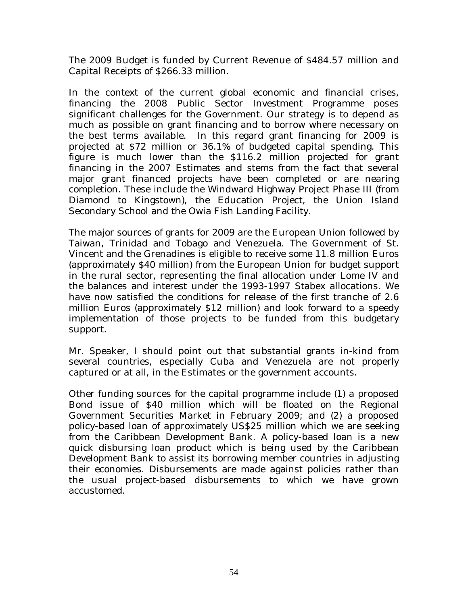The 2009 Budget is funded by Current Revenue of \$484.57 million and Capital Receipts of \$266.33 million.

In the context of the current global economic and financial crises, financing the 2008 Public Sector Investment Programme poses significant challenges for the Government. Our strategy is to depend as much as possible on grant financing and to borrow where necessary on the best terms available. In this regard grant financing for 2009 is projected at \$72 million or 36.1% of budgeted capital spending. This figure is much lower than the \$116.2 million projected for grant financing in the 2007 Estimates and stems from the fact that several major grant financed projects have been completed or are nearing completion. These include the Windward Highway Project Phase III (from Diamond to Kingstown), the Education Project, the Union Island Secondary School and the Owia Fish Landing Facility.

The major sources of grants for 2009 are the European Union followed by Taiwan, Trinidad and Tobago and Venezuela. The Government of St. Vincent and the Grenadines is eligible to receive some 11.8 million Euros (approximately \$40 million) from the European Union for budget support in the rural sector, representing the final allocation under Lome IV and the balances and interest under the 1993-1997 Stabex allocations. We have now satisfied the conditions for release of the first tranche of 2.6 million Euros (approximately \$12 million) and look forward to a speedy implementation of those projects to be funded from this budgetary support.

Mr. Speaker, I should point out that substantial grants in-kind from several countries, especially Cuba and Venezuela are not properly captured or at all, in the Estimates or the government accounts.

Other funding sources for the capital programme include (1) a proposed Bond issue of \$40 million which will be floated on the Regional Government Securities Market in February 2009; and (2) a proposed policy-based loan of approximately US\$25 million which we are seeking from the Caribbean Development Bank. A policy-based loan is a new quick disbursing loan product which is being used by the Caribbean Development Bank to assist its borrowing member countries in adjusting their economies. Disbursements are made against policies rather than the usual project-based disbursements to which we have grown accustomed.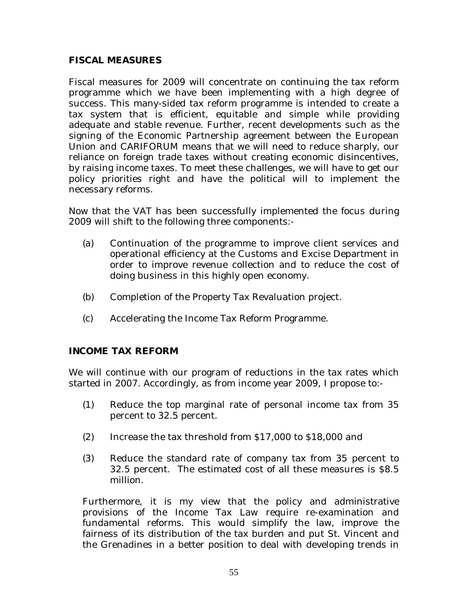#### **FISCAL MEASURES**

Fiscal measures for 2009 will concentrate on continuing the tax reform programme which we have been implementing with a high degree of success. This many-sided tax reform programme is intended to create a tax system that is efficient, equitable and simple while providing adequate and stable revenue. Further, recent developments such as the signing of the Economic Partnership agreement between the European Union and CARIFORUM means that we will need to reduce sharply, our reliance on foreign trade taxes without creating economic disincentives, by raising income taxes. To meet these challenges, we will have to get our policy priorities right and have the political will to implement the necessary reforms.

Now that the VAT has been successfully implemented the focus during 2009 will shift to the following three components:-

- (a) Continuation of the programme to improve client services and operational efficiency at the Customs and Excise Department in order to improve revenue collection and to reduce the cost of doing business in this highly open economy.
- (b) Completion of the Property Tax Revaluation project.
- (c) Accelerating the Income Tax Reform Programme.

#### **INCOME TAX REFORM**

We will continue with our program of reductions in the tax rates which started in 2007. Accordingly, as from income year 2009, I propose to:-

- (1) Reduce the top marginal rate of personal income tax from 35 percent to 32.5 percent.
- (2) Increase the tax threshold from \$17,000 to \$18,000 and
- (3) Reduce the standard rate of company tax from 35 percent to 32.5 percent. The estimated cost of all these measures is \$8.5 million.

Furthermore, it is my view that the policy and administrative provisions of the Income Tax Law require re-examination and fundamental reforms. This would simplify the law, improve the fairness of its distribution of the tax burden and put St. Vincent and the Grenadines in a better position to deal with developing trends in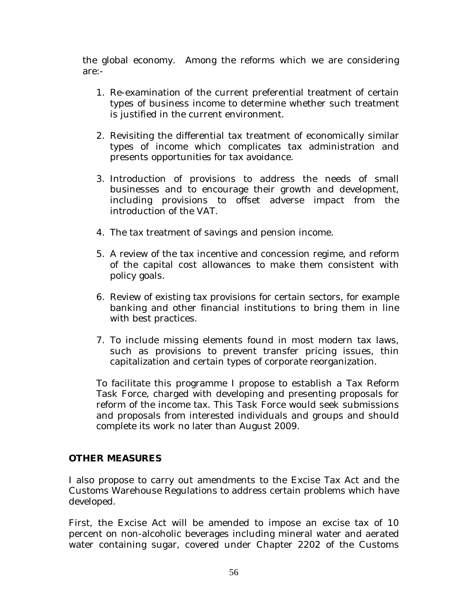the global economy. Among the reforms which we are considering are:-

- 1. Re-examination of the current preferential treatment of certain types of business income to determine whether such treatment is justified in the current environment.
- 2. Revisiting the differential tax treatment of economically similar types of income which complicates tax administration and presents opportunities for tax avoidance.
- 3. Introduction of provisions to address the needs of small businesses and to encourage their growth and development, including provisions to offset adverse impact from the introduction of the VAT.
- 4. The tax treatment of savings and pension income.
- 5. A review of the tax incentive and concession regime, and reform of the capital cost allowances to make them consistent with policy goals.
- 6. Review of existing tax provisions for certain sectors, for example banking and other financial institutions to bring them in line with best practices.
- 7. To include missing elements found in most modern tax laws, such as provisions to prevent transfer pricing issues, thin capitalization and certain types of corporate reorganization.

To facilitate this programme I propose to establish a Tax Reform Task Force, charged with developing and presenting proposals for reform of the income tax. This Task Force would seek submissions and proposals from interested individuals and groups and should complete its work no later than August 2009.

#### **OTHER MEASURES**

I also propose to carry out amendments to the Excise Tax Act and the Customs Warehouse Regulations to address certain problems which have developed.

First, the Excise Act will be amended to impose an excise tax of 10 percent on non-alcoholic beverages including mineral water and aerated water containing sugar, covered under Chapter 2202 of the Customs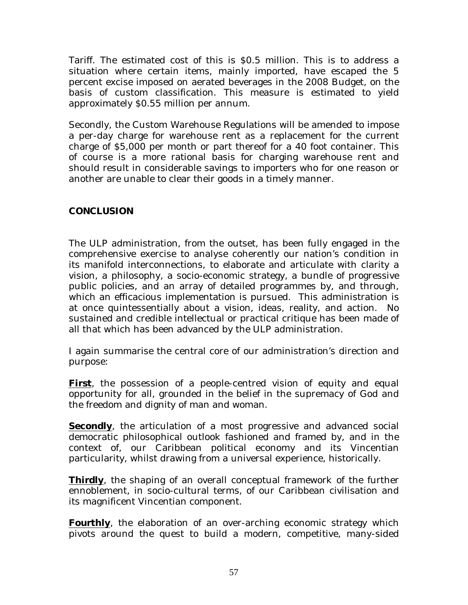Tariff. The estimated cost of this is \$0.5 million. This is to address a situation where certain items, mainly imported, have escaped the 5 percent excise imposed on aerated beverages in the 2008 Budget, on the basis of custom classification. This measure is estimated to yield approximately \$0.55 million per annum.

Secondly, the Custom Warehouse Regulations will be amended to impose a per-day charge for warehouse rent as a replacement for the current charge of \$5,000 per month or part thereof for a 40 foot container. This of course is a more rational basis for charging warehouse rent and should result in considerable savings to importers who for one reason or another are unable to clear their goods in a timely manner.

#### **CONCLUSION**

The ULP administration, from the outset, has been fully engaged in the comprehensive exercise to analyse coherently our nation's condition in its manifold interconnections, to elaborate and articulate with clarity a vision, a philosophy, a socio-economic strategy, a bundle of progressive public policies, and an array of detailed programmes by, and through, which an efficacious implementation is pursued. This administration is at once quintessentially about a vision, ideas, reality, and action. No sustained and credible intellectual or practical critique has been made of all that which has been advanced by the ULP administration.

I again summarise the central core of our administration's direction and purpose:

**First**, the possession of a people-centred vision of equity and equal opportunity for all, grounded in the belief in the supremacy of God and the freedom and dignity of man and woman.

**Secondly**, the articulation of a most progressive and advanced social democratic philosophical outlook fashioned and framed by, and in the context of, our Caribbean political economy and its Vincentian particularity, whilst drawing from a universal experience, historically.

**Thirdly**, the shaping of an overall conceptual framework of the further ennoblement, in socio-cultural terms, of our Caribbean civilisation and its magnificent Vincentian component.

**Fourthly**, the elaboration of an over-arching economic strategy which pivots around the quest to build a modern, competitive, many-sided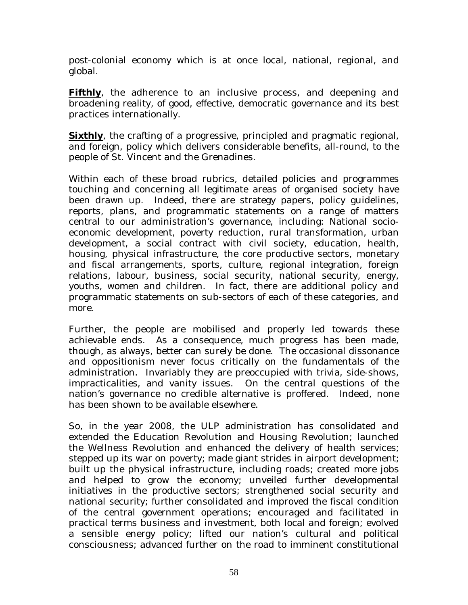post-colonial economy which is at once local, national, regional, and global.

**Fifthly**, the adherence to an inclusive process, and deepening and broadening reality, of good, effective, democratic governance and its best practices internationally.

**Sixthly**, the crafting of a progressive, principled and pragmatic regional, and foreign, policy which delivers considerable benefits, all-round, to the people of St. Vincent and the Grenadines.

Within each of these broad rubrics, detailed policies and programmes touching and concerning all legitimate areas of organised society have been drawn up. Indeed, there are strategy papers, policy guidelines, reports, plans, and programmatic statements on a range of matters central to our administration's governance, including: National socioeconomic development, poverty reduction, rural transformation, urban development, a social contract with civil society, education, health, housing, physical infrastructure, the core productive sectors, monetary and fiscal arrangements, sports, culture, regional integration, foreign relations, labour, business, social security, national security, energy, youths, women and children. In fact, there are additional policy and programmatic statements on sub-sectors of each of these categories, and more.

Further, the people are mobilised and properly led towards these achievable ends. As a consequence, much progress has been made, though, as always, better can surely be done. The occasional dissonance and oppositionism never focus critically on the fundamentals of the administration. Invariably they are preoccupied with trivia, side-shows, impracticalities, and vanity issues. On the central questions of the nation's governance no credible alternative is proffered. Indeed, none has been shown to be available elsewhere.

So, in the year 2008, the ULP administration has consolidated and extended the Education Revolution and Housing Revolution; launched the Wellness Revolution and enhanced the delivery of health services; stepped up its war on poverty; made giant strides in airport development; built up the physical infrastructure, including roads; created more jobs and helped to grow the economy; unveiled further developmental initiatives in the productive sectors; strengthened social security and national security; further consolidated and improved the fiscal condition of the central government operations; encouraged and facilitated in practical terms business and investment, both local and foreign; evolved a sensible energy policy; lifted our nation's cultural and political consciousness; advanced further on the road to imminent constitutional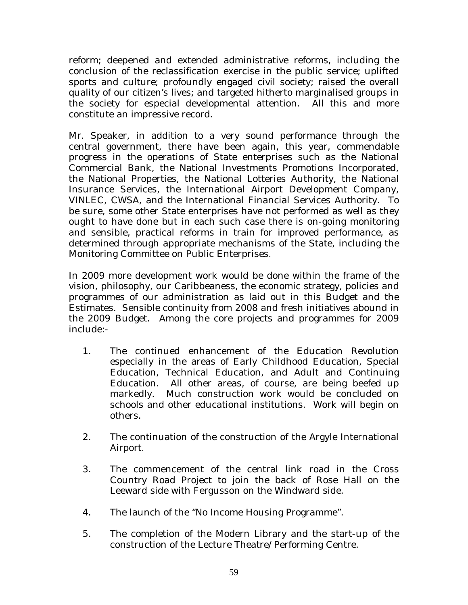reform; deepened and extended administrative reforms, including the conclusion of the reclassification exercise in the public service; uplifted sports and culture; profoundly engaged civil society; raised the overall quality of our citizen's lives; and targeted hitherto marginalised groups in the society for especial developmental attention. All this and more constitute an impressive record.

Mr. Speaker, in addition to a very sound performance through the central government, there have been again, this year, commendable progress in the operations of State enterprises such as the National Commercial Bank, the National Investments Promotions Incorporated, the National Properties, the National Lotteries Authority, the National Insurance Services, the International Airport Development Company, VINLEC, CWSA, and the International Financial Services Authority. To be sure, some other State enterprises have not performed as well as they ought to have done but in each such case there is on-going monitoring and sensible, practical reforms in train for improved performance, as determined through appropriate mechanisms of the State, including the Monitoring Committee on Public Enterprises.

In 2009 more development work would be done within the frame of the vision, philosophy, our Caribbeaness, the economic strategy, policies and programmes of our administration as laid out in this Budget and the Estimates. Sensible continuity from 2008 and fresh initiatives abound in the 2009 Budget. Among the core projects and programmes for 2009 include:-

- 1. The continued enhancement of the Education Revolution especially in the areas of Early Childhood Education, Special Education, Technical Education, and Adult and Continuing Education. All other areas, of course, are being beefed up markedly. Much construction work would be concluded on schools and other educational institutions. Work will begin on others.
- 2. The continuation of the construction of the Argyle International Airport.
- 3. The commencement of the central link road in the Cross Country Road Project to join the back of Rose Hall on the Leeward side with Fergusson on the Windward side.
- 4. The launch of the "No Income Housing Programme".
- 5. The completion of the Modern Library and the start-up of the construction of the Lecture Theatre/Performing Centre.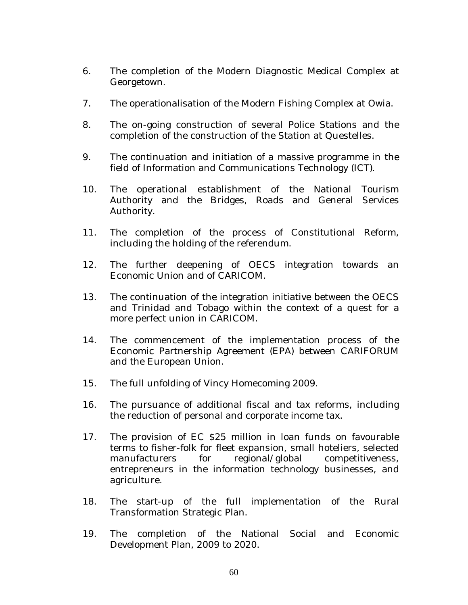- 6. The completion of the Modern Diagnostic Medical Complex at Georgetown.
- 7. The operationalisation of the Modern Fishing Complex at Owia.
- 8. The on-going construction of several Police Stations and the completion of the construction of the Station at Questelles.
- 9. The continuation and initiation of a massive programme in the field of Information and Communications Technology (ICT).
- 10. The operational establishment of the National Tourism Authority and the Bridges, Roads and General Services Authority.
- 11. The completion of the process of Constitutional Reform, including the holding of the referendum.
- 12. The further deepening of OECS integration towards an Economic Union and of CARICOM.
- 13. The continuation of the integration initiative between the OECS and Trinidad and Tobago within the context of a quest for a more perfect union in CARICOM.
- 14. The commencement of the implementation process of the Economic Partnership Agreement (EPA) between CARIFORUM and the European Union.
- 15. The full unfolding of Vincy Homecoming 2009.
- 16. The pursuance of additional fiscal and tax reforms, including the reduction of personal and corporate income tax.
- 17. The provision of EC \$25 million in loan funds on favourable terms to fisher-folk for fleet expansion, small hoteliers, selected manufacturers for regional/global competitiveness, entrepreneurs in the information technology businesses, and agriculture.
- 18. The start-up of the full implementation of the Rural Transformation Strategic Plan.
- 19. The completion of the National Social and Economic Development Plan, 2009 to 2020.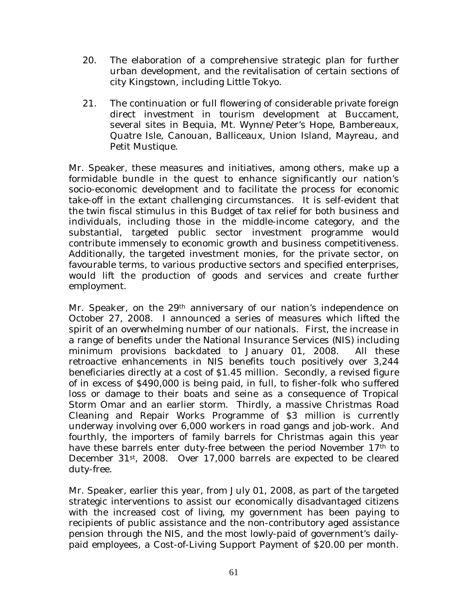- 20. The elaboration of a comprehensive strategic plan for further urban development, and the revitalisation of certain sections of city Kingstown, including Little Tokyo.
- 21. The continuation or full flowering of considerable private foreign direct investment in tourism development at Buccament, several sites in Bequia, Mt. Wynne/Peter's Hope, Bambereaux, Quatre Isle, Canouan, Balliceaux, Union Island, Mayreau, and Petit Mustique.

Mr. Speaker, these measures and initiatives, among others, make up a formidable bundle in the quest to enhance significantly our nation's socio-economic development and to facilitate the process for economic take-off in the extant challenging circumstances. It is self-evident that the twin fiscal stimulus in this Budget of tax relief for both business and individuals, including those in the middle-income category, and the substantial, targeted public sector investment programme would contribute immensely to economic growth and business competitiveness. Additionally, the targeted investment monies, for the private sector, on favourable terms, to various productive sectors and specified enterprises, would lift the production of goods and services and create further employment.

Mr. Speaker, on the 29<sup>th</sup> anniversary of our nation's independence on October 27, 2008. I announced a series of measures which lifted the spirit of an overwhelming number of our nationals. First, the increase in a range of benefits under the National Insurance Services (NIS) including minimum provisions backdated to January 01, 2008. All these retroactive enhancements in NIS benefits touch positively over 3,244 beneficiaries directly at a cost of \$1.45 million. Secondly, a revised figure of in excess of \$490,000 is being paid, in full, to fisher-folk who suffered loss or damage to their boats and seine as a consequence of Tropical Storm Omar and an earlier storm. Thirdly, a massive Christmas Road Cleaning and Repair Works Programme of \$3 million is currently underway involving over 6,000 workers in road gangs and job-work. And fourthly, the importers of family barrels for Christmas again this year have these barrels enter duty-free between the period November 17<sup>th</sup> to December 31st, 2008. Over 17,000 barrels are expected to be cleared duty-free.

Mr. Speaker, earlier this year, from July 01, 2008, as part of the targeted strategic interventions to assist our economically disadvantaged citizens with the increased cost of living, my government has been paying to recipients of public assistance and the non-contributory aged assistance pension through the NIS, and the most lowly-paid of government's dailypaid employees, a Cost-of-Living Support Payment of \$20.00 per month.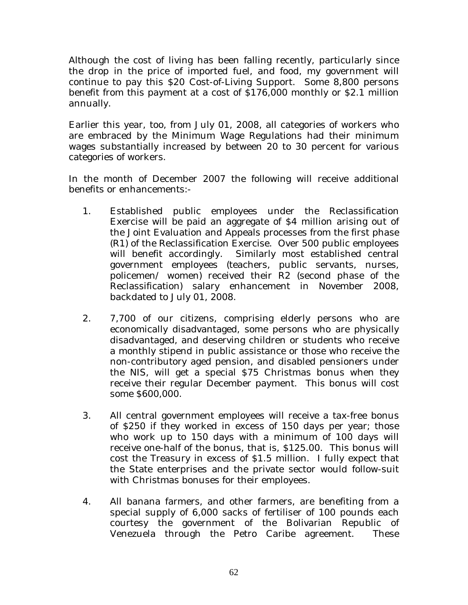Although the cost of living has been falling recently, particularly since the drop in the price of imported fuel, and food, my government will continue to pay this \$20 Cost-of-Living Support. Some 8,800 persons benefit from this payment at a cost of \$176,000 monthly or \$2.1 million annually.

Earlier this year, too, from July 01, 2008, all categories of workers who are embraced by the Minimum Wage Regulations had their minimum wages substantially increased by between 20 to 30 percent for various categories of workers.

In the month of December 2007 the following will receive additional benefits or enhancements:-

- 1. Established public employees under the Reclassification Exercise will be paid an aggregate of \$4 million arising out of the Joint Evaluation and Appeals processes from the first phase (R1) of the Reclassification Exercise. Over 500 public employees will benefit accordingly. Similarly most established central government employees (teachers, public servants, nurses, policemen/ women) received their R2 (second phase of the Reclassification) salary enhancement in November 2008, backdated to July 01, 2008.
- 2. 7,700 of our citizens, comprising elderly persons who are economically disadvantaged, some persons who are physically disadvantaged, and deserving children or students who receive a monthly stipend in public assistance or those who receive the non-contributory aged pension, and disabled pensioners under the NIS, will get a special \$75 Christmas bonus when they receive their regular December payment. This bonus will cost some \$600,000.
- 3. All central government employees will receive a tax-free bonus of \$250 if they worked in excess of 150 days per year; those who work up to 150 days with a minimum of 100 days will receive one-half of the bonus, that is, \$125.00. This bonus will cost the Treasury in excess of \$1.5 million. I fully expect that the State enterprises and the private sector would follow-suit with Christmas bonuses for their employees.
- 4. All banana farmers, and other farmers, are benefiting from a special supply of 6,000 sacks of fertiliser of 100 pounds each courtesy the government of the Bolivarian Republic of Venezuela through the Petro Caribe agreement. These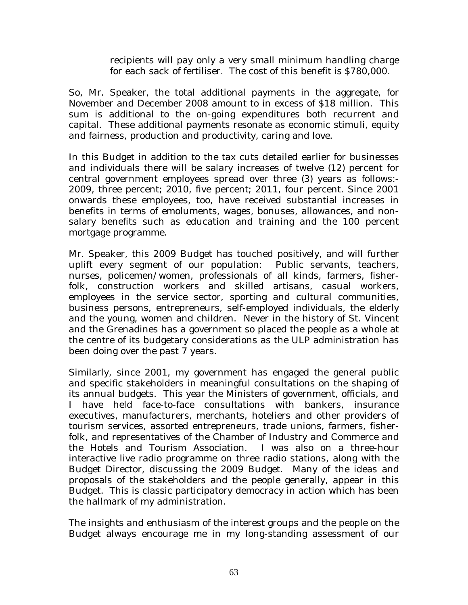recipients will pay only a very small minimum handling charge for each sack of fertiliser. The cost of this benefit is \$780,000.

So, Mr. Speaker, the total additional payments in the aggregate, for November and December 2008 amount to in excess of \$18 million. This sum is additional to the on-going expenditures both recurrent and capital. These additional payments resonate as economic stimuli, equity and fairness, production and productivity, caring and love.

In this Budget in addition to the tax cuts detailed earlier for businesses and individuals there will be salary increases of twelve (12) percent for central government employees spread over three (3) years as follows:- 2009, three percent; 2010, five percent; 2011, four percent. Since 2001 onwards these employees, too, have received substantial increases in benefits in terms of emoluments, wages, bonuses, allowances, and nonsalary benefits such as education and training and the 100 percent mortgage programme.

Mr. Speaker, this 2009 Budget has touched positively, and will further uplift every segment of our population: Public servants, teachers, nurses, policemen/women, professionals of all kinds, farmers, fisherfolk, construction workers and skilled artisans, casual workers, employees in the service sector, sporting and cultural communities, business persons, entrepreneurs, self-employed individuals, the elderly and the young, women and children. Never in the history of St. Vincent and the Grenadines has a government so placed the people as a whole at the centre of its budgetary considerations as the ULP administration has been doing over the past 7 years.

Similarly, since 2001, my government has engaged the general public and specific stakeholders in meaningful consultations on the shaping of its annual budgets. This year the Ministers of government, officials, and I have held face-to-face consultations with bankers, insurance executives, manufacturers, merchants, hoteliers and other providers of tourism services, assorted entrepreneurs, trade unions, farmers, fisherfolk, and representatives of the Chamber of Industry and Commerce and the Hotels and Tourism Association. I was also on a three-hour interactive live radio programme on three radio stations, along with the Budget Director, discussing the 2009 Budget. Many of the ideas and proposals of the stakeholders and the people generally, appear in this Budget. This is classic participatory democracy in action which has been the hallmark of my administration.

The insights and enthusiasm of the interest groups and the people on the Budget always encourage me in my long-standing assessment of our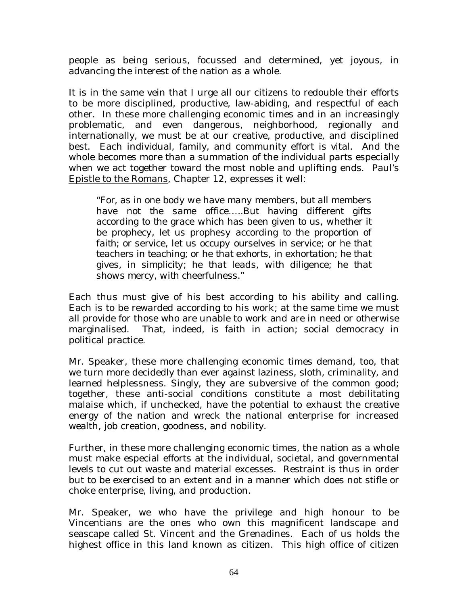people as being serious, focussed and determined, yet joyous, in advancing the interest of the nation as a whole.

It is in the same vein that I urge all our citizens to redouble their efforts to be more disciplined, productive, law-abiding, and respectful of each other. In these more challenging economic times and in an increasingly problematic, and even dangerous, neighborhood, regionally and internationally, we must be at our creative, productive, and disciplined best. Each individual, family, and community effort is vital. And the whole becomes more than a summation of the individual parts especially when we act together toward the most noble and uplifting ends. Paul's Epistle to the Romans, Chapter 12, expresses it well:

*"For, as in one body we have many members, but all members have not the same office…..But having different gifts according to the grace which has been given to us, whether it be prophecy, let us prophesy according to the proportion of faith; or service, let us occupy ourselves in service; or he that teachers in teaching; or he that exhorts, in exhortation; he that gives, in simplicity; he that leads, with diligence; he that shows mercy, with cheerfulness."* 

Each thus must give of his best according to his ability and calling. Each is to be rewarded according to his work; at the same time we must all provide for those who are unable to work and are in need or otherwise marginalised. That, indeed, is faith in action; social democracy in political practice.

Mr. Speaker, these more challenging economic times demand, too, that we turn more decidedly than ever against laziness, sloth, criminality, and learned helplessness. Singly, they are subversive of the common good; together, these anti-social conditions constitute a most debilitating malaise which, if unchecked, have the potential to exhaust the creative energy of the nation and wreck the national enterprise for increased wealth, job creation, goodness, and nobility.

Further, in these more challenging economic times, the nation as a whole must make especial efforts at the individual, societal, and governmental levels to cut out waste and material excesses. Restraint is thus in order but to be exercised to an extent and in a manner which does not stifle or choke enterprise, living, and production.

Mr. Speaker, we who have the privilege and high honour to be Vincentians are the ones who own this magnificent landscape and seascape called St. Vincent and the Grenadines. Each of us holds the highest office in this land known as citizen. This high office of citizen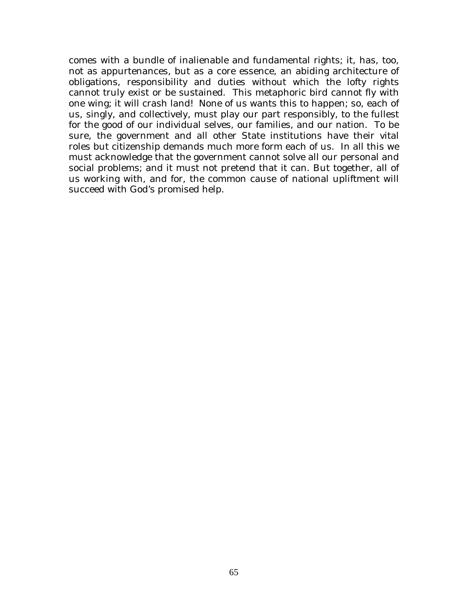comes with a bundle of inalienable and fundamental rights; it, has, too, not as appurtenances, but as a core essence, an abiding architecture of obligations, responsibility and duties without which the lofty rights cannot truly exist or be sustained. This metaphoric bird cannot fly with one wing; it will crash land! None of us wants this to happen; so, each of us, singly, and collectively, must play our part responsibly, to the fullest for the good of our individual selves, our families, and our nation. To be sure, the government and all other State institutions have their vital roles but citizenship demands much more form each of us. In all this we must acknowledge that the government cannot solve all our personal and social problems; and it must not pretend that it can. But together, all of us working with, and for, the common cause of national upliftment will succeed with God's promised help.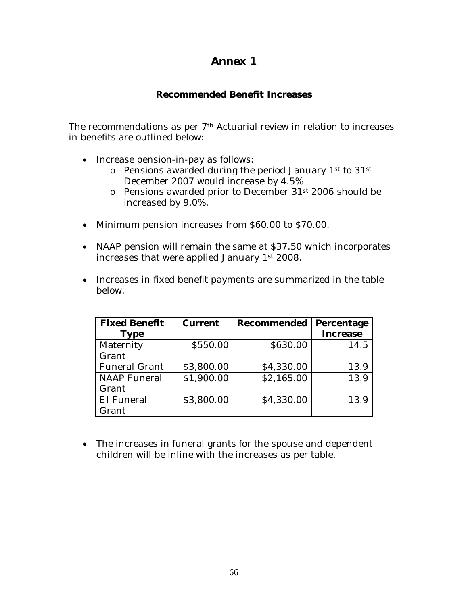### **Annex 1**

#### **Recommended Benefit Increases**

The recommendations as per 7<sup>th</sup> Actuarial review in relation to increases in benefits are outlined below:

- Increase pension-in-pay as follows:
	- o Pensions awarded during the period January 1st to 31st December 2007 would increase by 4.5%
	- o Pensions awarded prior to December 31st 2006 should be increased by 9.0%.
- Minimum pension increases from \$60.00 to \$70.00.
- NAAP pension will remain the same at \$37.50 which incorporates increases that were applied January 1st 2008.
- Increases in fixed benefit payments are summarized in the table below.

| <b>Fixed Benefit</b> | <b>Current</b> | <b>Recommended</b> | Percentage      |
|----------------------|----------------|--------------------|-----------------|
| <b>Type</b>          |                |                    | <b>Increase</b> |
| Maternity            | \$550.00       | \$630.00           | 14.5            |
| Grant                |                |                    |                 |
| <b>Funeral Grant</b> | \$3,800.00     | \$4,330.00         | 13.9            |
| <b>NAAP</b> Funeral  | \$1,900.00     | \$2,165.00         | 13.9            |
| Grant                |                |                    |                 |
| EI Funeral           | \$3,800.00     | \$4,330.00         | 13.9            |
| Grant                |                |                    |                 |

• The increases in funeral grants for the spouse and dependent children will be inline with the increases as per table.